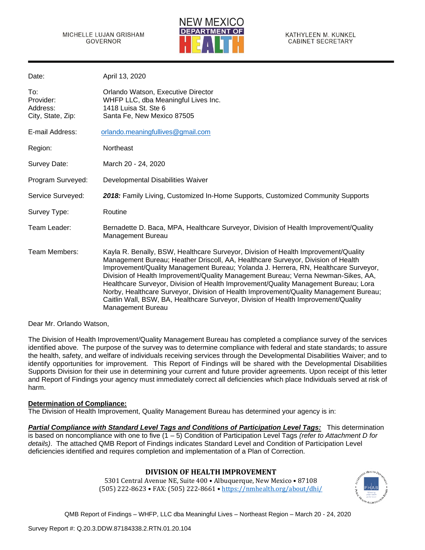

| Date:                                             | April 13, 2020                                                                                                                                                                                                                                                                                                                                                                                                                                                                                                                                                                                                                                |
|---------------------------------------------------|-----------------------------------------------------------------------------------------------------------------------------------------------------------------------------------------------------------------------------------------------------------------------------------------------------------------------------------------------------------------------------------------------------------------------------------------------------------------------------------------------------------------------------------------------------------------------------------------------------------------------------------------------|
| To:<br>Provider:<br>Address:<br>City, State, Zip: | Orlando Watson, Executive Director<br>WHFP LLC, dba Meaningful Lives Inc.<br>1418 Luisa St. Ste 6<br>Santa Fe, New Mexico 87505                                                                                                                                                                                                                                                                                                                                                                                                                                                                                                               |
| E-mail Address:                                   | orlando.meaningfullives@gmail.com                                                                                                                                                                                                                                                                                                                                                                                                                                                                                                                                                                                                             |
| Region:                                           | Northeast                                                                                                                                                                                                                                                                                                                                                                                                                                                                                                                                                                                                                                     |
| Survey Date:                                      | March 20 - 24, 2020                                                                                                                                                                                                                                                                                                                                                                                                                                                                                                                                                                                                                           |
| Program Surveyed:                                 | Developmental Disabilities Waiver                                                                                                                                                                                                                                                                                                                                                                                                                                                                                                                                                                                                             |
| Service Surveyed:                                 | 2018: Family Living, Customized In-Home Supports, Customized Community Supports                                                                                                                                                                                                                                                                                                                                                                                                                                                                                                                                                               |
| Survey Type:                                      | Routine                                                                                                                                                                                                                                                                                                                                                                                                                                                                                                                                                                                                                                       |
| Team Leader:                                      | Bernadette D. Baca, MPA, Healthcare Surveyor, Division of Health Improvement/Quality<br>Management Bureau                                                                                                                                                                                                                                                                                                                                                                                                                                                                                                                                     |
| Team Members:                                     | Kayla R. Benally, BSW, Healthcare Surveyor, Division of Health Improvement/Quality<br>Management Bureau; Heather Driscoll, AA, Healthcare Surveyor, Division of Health<br>Improvement/Quality Management Bureau; Yolanda J. Herrera, RN, Healthcare Surveyor,<br>Division of Health Improvement/Quality Management Bureau; Verna Newman-Sikes, AA,<br>Healthcare Surveyor, Division of Health Improvement/Quality Management Bureau; Lora<br>Norby, Healthcare Surveyor, Division of Health Improvement/Quality Management Bureau;<br>Caitlin Wall, BSW, BA, Healthcare Surveyor, Division of Health Improvement/Quality<br>Management Bureau |

Dear Mr. Orlando Watson,

The Division of Health Improvement/Quality Management Bureau has completed a compliance survey of the services identified above. The purpose of the survey was to determine compliance with federal and state standards; to assure the health, safety, and welfare of individuals receiving services through the Developmental Disabilities Waiver; and to identify opportunities for improvement. This Report of Findings will be shared with the Developmental Disabilities Supports Division for their use in determining your current and future provider agreements. Upon receipt of this letter and Report of Findings your agency must immediately correct all deficiencies which place Individuals served at risk of harm.

#### **Determination of Compliance:**

The Division of Health Improvement, Quality Management Bureau has determined your agency is in:

*Partial Compliance with Standard Level Tags and Conditions of Participation Level Tags:* This determination is based on noncompliance with one to five (1 – 5) Condition of Participation Level Tags *(refer to Attachment D for details)*. The attached QMB Report of Findings indicates Standard Level and Condition of Participation Level deficiencies identified and requires completion and implementation of a Plan of Correction.

# **DIVISION OF HEALTH IMPROVEMENT**

5301 Central Avenue NE, Suite 400 • Albuquerque, New Mexico • 87108 (505) 222-8623 • FAX: (505) 222-8661 • <https://nmhealth.org/about/dhi/>

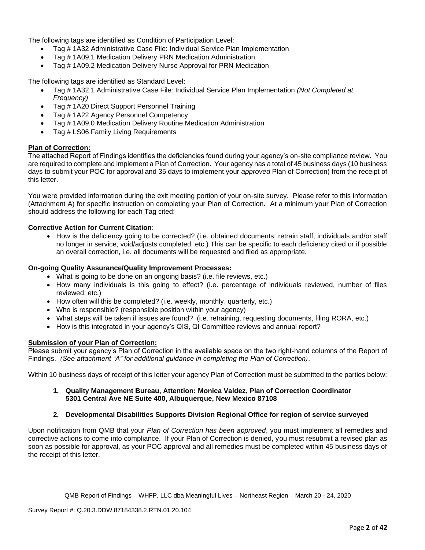The following tags are identified as Condition of Participation Level:

- Tag # 1A32 Administrative Case File: Individual Service Plan Implementation
- Tag # 1A09.1 Medication Delivery PRN Medication Administration
- Tag # 1A09.2 Medication Delivery Nurse Approval for PRN Medication

The following tags are identified as Standard Level:

- Tag # 1A32.1 Administrative Case File: Individual Service Plan Implementation *(Not Completed at Frequency)*
- Tag # 1A20 Direct Support Personnel Training
- Tag # 1A22 Agency Personnel Competency
- Tag # 1A09.0 Medication Delivery Routine Medication Administration
- Tag # LS06 Family Living Requirements

# **Plan of Correction:**

The attached Report of Findings identifies the deficiencies found during your agency's on-site compliance review. You are required to complete and implement a Plan of Correction. Your agency has a total of 45 business days (10 business days to submit your POC for approval and 35 days to implement your *approved* Plan of Correction) from the receipt of this letter.

You were provided information during the exit meeting portion of your on-site survey. Please refer to this information (Attachment A) for specific instruction on completing your Plan of Correction. At a minimum your Plan of Correction should address the following for each Tag cited:

#### **Corrective Action for Current Citation**:

• How is the deficiency going to be corrected? (i.e. obtained documents, retrain staff, individuals and/or staff no longer in service, void/adjusts completed, etc.) This can be specific to each deficiency cited or if possible an overall correction, i.e. all documents will be requested and filed as appropriate.

#### **On-going Quality Assurance/Quality Improvement Processes:**

- What is going to be done on an ongoing basis? (i.e. file reviews, etc.)
- How many individuals is this going to effect? (i.e. percentage of individuals reviewed, number of files reviewed, etc.)
- How often will this be completed? (i.e. weekly, monthly, quarterly, etc.)
- Who is responsible? (responsible position within your agency)
- What steps will be taken if issues are found? (i.e. retraining, requesting documents, filing RORA, etc.)
- How is this integrated in your agency's QIS, QI Committee reviews and annual report?

#### **Submission of your Plan of Correction:**

Please submit your agency's Plan of Correction in the available space on the two right-hand columns of the Report of Findings. *(See attachment "A" for additional guidance in completing the Plan of Correction)*.

Within 10 business days of receipt of this letter your agency Plan of Correction must be submitted to the parties below:

**1. Quality Management Bureau, Attention: Monica Valdez, Plan of Correction Coordinator 5301 Central Ave NE Suite 400, Albuquerque, New Mexico 87108**

#### **2. Developmental Disabilities Supports Division Regional Office for region of service surveyed**

Upon notification from QMB that your *Plan of Correction has been approved*, you must implement all remedies and corrective actions to come into compliance. If your Plan of Correction is denied, you must resubmit a revised plan as soon as possible for approval, as your POC approval and all remedies must be completed within 45 business days of the receipt of this letter.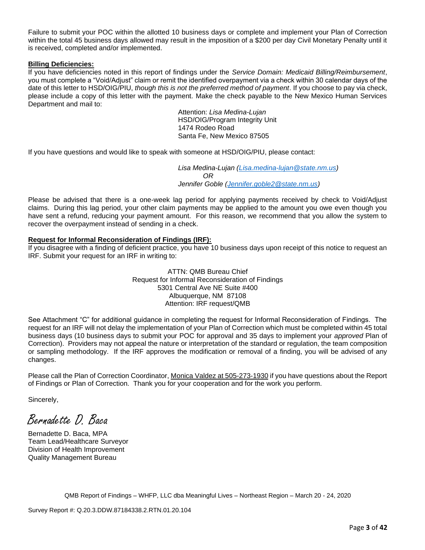Failure to submit your POC within the allotted 10 business days or complete and implement your Plan of Correction within the total 45 business days allowed may result in the imposition of a \$200 per day Civil Monetary Penalty until it is received, completed and/or implemented.

#### **Billing Deficiencies:**

If you have deficiencies noted in this report of findings under the *Service Domain: Medicaid Billing/Reimbursement*, you must complete a "Void/Adjust" claim or remit the identified overpayment via a check within 30 calendar days of the date of this letter to HSD/OIG/PIU, *though this is not the preferred method of payment*. If you choose to pay via check, please include a copy of this letter with the payment. Make the check payable to the New Mexico Human Services Department and mail to:

> Attention: *Lisa Medina-Lujan* HSD/OIG/Program Integrity Unit 1474 Rodeo Road Santa Fe, New Mexico 87505

If you have questions and would like to speak with someone at HSD/OIG/PIU, please contact:

*Lisa Medina-Lujan [\(Lisa.medina-lujan@state.nm.us\)](mailto:Lisa.medina-lujan@state.nm.us) OR Jennifer Goble [\(Jennifer.goble2@state.nm.us\)](mailto:Jennifer.goble2@state.nm.us)*

Please be advised that there is a one-week lag period for applying payments received by check to Void/Adjust claims. During this lag period, your other claim payments may be applied to the amount you owe even though you have sent a refund, reducing your payment amount. For this reason, we recommend that you allow the system to recover the overpayment instead of sending in a check.

# **Request for Informal Reconsideration of Findings (IRF):**

If you disagree with a finding of deficient practice, you have 10 business days upon receipt of this notice to request an IRF. Submit your request for an IRF in writing to:

> ATTN: QMB Bureau Chief Request for Informal Reconsideration of Findings 5301 Central Ave NE Suite #400 Albuquerque, NM 87108 Attention: IRF request/QMB

See Attachment "C" for additional guidance in completing the request for Informal Reconsideration of Findings. The request for an IRF will not delay the implementation of your Plan of Correction which must be completed within 45 total business days (10 business days to submit your POC for approval and 35 days to implement your *approved* Plan of Correction). Providers may not appeal the nature or interpretation of the standard or regulation, the team composition or sampling methodology. If the IRF approves the modification or removal of a finding, you will be advised of any changes.

Please call the Plan of Correction Coordinator, Monica Valdez at 505-273-1930 if you have questions about the Report of Findings or Plan of Correction. Thank you for your cooperation and for the work you perform.

Sincerely,

Bernadette D. Baca

Bernadette D. Baca, MPA Team Lead/Healthcare Surveyor Division of Health Improvement Quality Management Bureau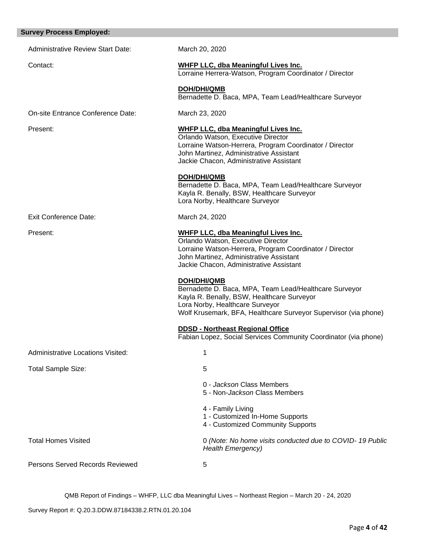| <b>Survey Process Employed:</b>          |                                                                                                                                                                                                                                   |
|------------------------------------------|-----------------------------------------------------------------------------------------------------------------------------------------------------------------------------------------------------------------------------------|
| <b>Administrative Review Start Date:</b> | March 20, 2020                                                                                                                                                                                                                    |
| Contact:                                 | <b>WHFP LLC, dba Meaningful Lives Inc.</b><br>Lorraine Herrera-Watson, Program Coordinator / Director                                                                                                                             |
|                                          | <b>DOH/DHI/QMB</b><br>Bernadette D. Baca, MPA, Team Lead/Healthcare Surveyor                                                                                                                                                      |
| On-site Entrance Conference Date:        | March 23, 2020                                                                                                                                                                                                                    |
| Present:                                 | <b>WHFP LLC, dba Meaningful Lives Inc.</b><br>Orlando Watson, Executive Director<br>Lorraine Watson-Herrera, Program Coordinator / Director<br>John Martinez, Administrative Assistant<br>Jackie Chacon, Administrative Assistant |
|                                          | <b>DOH/DHI/QMB</b><br>Bernadette D. Baca, MPA, Team Lead/Healthcare Surveyor<br>Kayla R. Benally, BSW, Healthcare Surveyor<br>Lora Norby, Healthcare Surveyor                                                                     |
| <b>Exit Conference Date:</b>             | March 24, 2020                                                                                                                                                                                                                    |
| Present:                                 | <b>WHFP LLC, dba Meaningful Lives Inc.</b><br>Orlando Watson, Executive Director<br>Lorraine Watson-Herrera, Program Coordinator / Director<br>John Martinez, Administrative Assistant<br>Jackie Chacon, Administrative Assistant |
|                                          | <b>DOH/DHI/QMB</b><br>Bernadette D. Baca, MPA, Team Lead/Healthcare Surveyor<br>Kayla R. Benally, BSW, Healthcare Surveyor<br>Lora Norby, Healthcare Surveyor<br>Wolf Krusemark, BFA, Healthcare Surveyor Supervisor (via phone)  |
|                                          | <b>DDSD - Northeast Regional Office</b><br>Fabian Lopez, Social Services Community Coordinator (via phone)                                                                                                                        |
| Administrative Locations Visited:        | 1                                                                                                                                                                                                                                 |
| Total Sample Size:                       | 5                                                                                                                                                                                                                                 |
|                                          | 0 - Jackson Class Members<br>5 - Non-Jackson Class Members                                                                                                                                                                        |
|                                          | 4 - Family Living<br>1 - Customized In-Home Supports<br>4 - Customized Community Supports                                                                                                                                         |
| <b>Total Homes Visited</b>               | 0 (Note: No home visits conducted due to COVID-19 Public<br><b>Health Emergency)</b>                                                                                                                                              |
| <b>Persons Served Records Reviewed</b>   | 5                                                                                                                                                                                                                                 |
|                                          |                                                                                                                                                                                                                                   |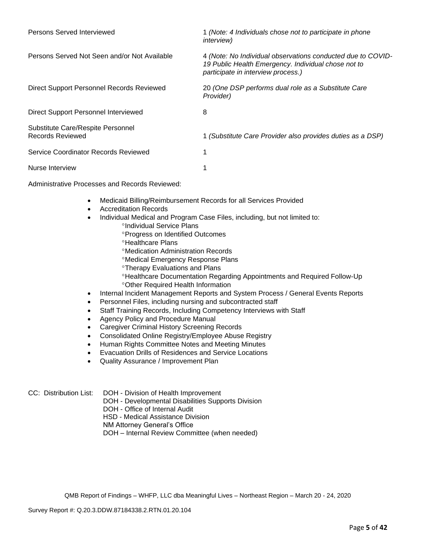| Persons Served Interviewed                                   | 1 (Note: 4 Individuals chose not to participate in phone<br><i>interview)</i>                                                                            |
|--------------------------------------------------------------|----------------------------------------------------------------------------------------------------------------------------------------------------------|
| Persons Served Not Seen and/or Not Available                 | 4 (Note: No Individual observations conducted due to COVID-<br>19 Public Health Emergency. Individual chose not to<br>participate in interview process.) |
| Direct Support Personnel Records Reviewed                    | 20 (One DSP performs dual role as a Substitute Care<br>Provider)                                                                                         |
| Direct Support Personnel Interviewed                         | 8                                                                                                                                                        |
| Substitute Care/Respite Personnel<br><b>Records Reviewed</b> | 1 (Substitute Care Provider also provides duties as a DSP)                                                                                               |
| Service Coordinator Records Reviewed                         |                                                                                                                                                          |
| Nurse Interview                                              |                                                                                                                                                          |

Administrative Processes and Records Reviewed:

- Medicaid Billing/Reimbursement Records for all Services Provided
- Accreditation Records
- Individual Medical and Program Case Files, including, but not limited to:
	- °Individual Service Plans
	- **Progress on Identified Outcomes**
	- <sup>o</sup>Healthcare Plans
	- Medication Administration Records
	- Medical Emergency Response Plans
	- Therapy Evaluations and Plans
	- Healthcare Documentation Regarding Appointments and Required Follow-Up Other Required Health Information
- Internal Incident Management Reports and System Process / General Events Reports
- Personnel Files, including nursing and subcontracted staff
- Staff Training Records, Including Competency Interviews with Staff
- Agency Policy and Procedure Manual
- Caregiver Criminal History Screening Records
- Consolidated Online Registry/Employee Abuse Registry
- Human Rights Committee Notes and Meeting Minutes
- Evacuation Drills of Residences and Service Locations
- Quality Assurance / Improvement Plan

CC: Distribution List: DOH - Division of Health Improvement

DOH - Developmental Disabilities Supports Division

- DOH Office of Internal Audit
- HSD Medical Assistance Division
- NM Attorney General's Office

DOH – Internal Review Committee (when needed)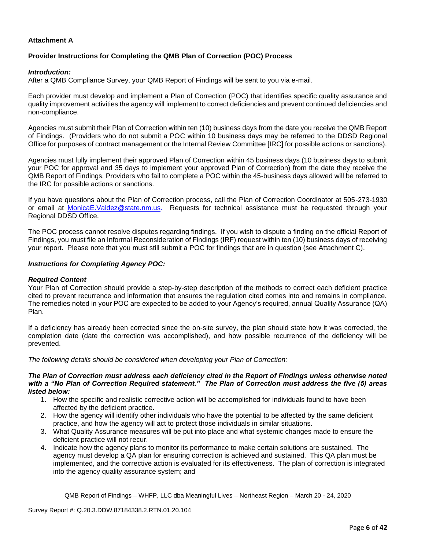# **Attachment A**

#### **Provider Instructions for Completing the QMB Plan of Correction (POC) Process**

#### *Introduction:*

After a QMB Compliance Survey, your QMB Report of Findings will be sent to you via e-mail.

Each provider must develop and implement a Plan of Correction (POC) that identifies specific quality assurance and quality improvement activities the agency will implement to correct deficiencies and prevent continued deficiencies and non-compliance.

Agencies must submit their Plan of Correction within ten (10) business days from the date you receive the QMB Report of Findings. (Providers who do not submit a POC within 10 business days may be referred to the DDSD Regional Office for purposes of contract management or the Internal Review Committee [IRC] for possible actions or sanctions).

Agencies must fully implement their approved Plan of Correction within 45 business days (10 business days to submit your POC for approval and 35 days to implement your approved Plan of Correction) from the date they receive the QMB Report of Findings. Providers who fail to complete a POC within the 45-business days allowed will be referred to the IRC for possible actions or sanctions.

If you have questions about the Plan of Correction process, call the Plan of Correction Coordinator at 505-273-1930 or email at **[MonicaE.Valdez@state.nm.us.](mailto:MonicaE.Valdez@state.nm.us)** Requests for technical assistance must be requested through your Regional DDSD Office.

The POC process cannot resolve disputes regarding findings. If you wish to dispute a finding on the official Report of Findings, you must file an Informal Reconsideration of Findings (IRF) request within ten (10) business days of receiving your report. Please note that you must still submit a POC for findings that are in question (see Attachment C).

#### *Instructions for Completing Agency POC:*

#### *Required Content*

Your Plan of Correction should provide a step-by-step description of the methods to correct each deficient practice cited to prevent recurrence and information that ensures the regulation cited comes into and remains in compliance. The remedies noted in your POC are expected to be added to your Agency's required, annual Quality Assurance (QA) Plan.

If a deficiency has already been corrected since the on-site survey, the plan should state how it was corrected, the completion date (date the correction was accomplished), and how possible recurrence of the deficiency will be prevented.

*The following details should be considered when developing your Plan of Correction:*

#### *The Plan of Correction must address each deficiency cited in the Report of Findings unless otherwise noted with a "No Plan of Correction Required statement." The Plan of Correction must address the five (5) areas listed below:*

- 1. How the specific and realistic corrective action will be accomplished for individuals found to have been affected by the deficient practice.
- 2. How the agency will identify other individuals who have the potential to be affected by the same deficient practice, and how the agency will act to protect those individuals in similar situations.
- 3. What Quality Assurance measures will be put into place and what systemic changes made to ensure the deficient practice will not recur.
- 4. Indicate how the agency plans to monitor its performance to make certain solutions are sustained. The agency must develop a QA plan for ensuring correction is achieved and sustained. This QA plan must be implemented, and the corrective action is evaluated for its effectiveness. The plan of correction is integrated into the agency quality assurance system; and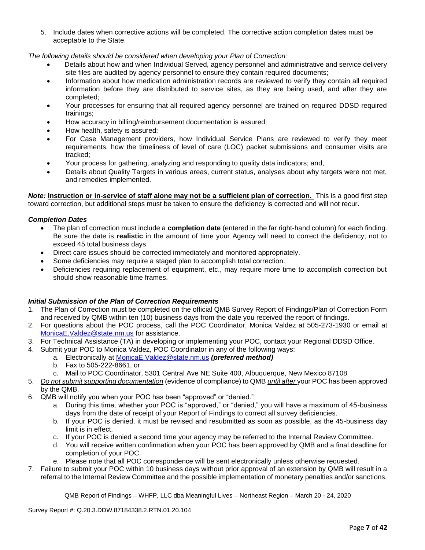5. Include dates when corrective actions will be completed. The corrective action completion dates must be acceptable to the State.

*The following details should be considered when developing your Plan of Correction:*

- Details about how and when Individual Served, agency personnel and administrative and service delivery site files are audited by agency personnel to ensure they contain required documents;
- Information about how medication administration records are reviewed to verify they contain all required information before they are distributed to service sites, as they are being used, and after they are completed;
- Your processes for ensuring that all required agency personnel are trained on required DDSD required trainings;
- How accuracy in billing/reimbursement documentation is assured;
- How health, safety is assured;
- For Case Management providers, how Individual Service Plans are reviewed to verify they meet requirements, how the timeliness of level of care (LOC) packet submissions and consumer visits are tracked;
- Your process for gathering, analyzing and responding to quality data indicators; and,
- Details about Quality Targets in various areas, current status, analyses about why targets were not met, and remedies implemented.

*Note:* **Instruction or in-service of staff alone may not be a sufficient plan of correction.** This is a good first step toward correction, but additional steps must be taken to ensure the deficiency is corrected and will not recur.

#### *Completion Dates*

- The plan of correction must include a **completion date** (entered in the far right-hand column) for each finding. Be sure the date is **realistic** in the amount of time your Agency will need to correct the deficiency; not to exceed 45 total business days.
- Direct care issues should be corrected immediately and monitored appropriately.
- Some deficiencies may require a staged plan to accomplish total correction.
- Deficiencies requiring replacement of equipment, etc., may require more time to accomplish correction but should show reasonable time frames.

#### *Initial Submission of the Plan of Correction Requirements*

- 1. The Plan of Correction must be completed on the official QMB Survey Report of Findings/Plan of Correction Form and received by QMB within ten (10) business days from the date you received the report of findings.
- 2. For questions about the POC process, call the POC Coordinator, Monica Valdez at 505-273-1930 or email at [MonicaE.Valdez@state.nm.us](mailto:MonicaE.Valdez@state.nm.us) for assistance.
- 3. For Technical Assistance (TA) in developing or implementing your POC, contact your Regional DDSD Office.
- 4. Submit your POC to Monica Valdez, POC Coordinator in any of the following ways:
	- a. Electronically at [MonicaE.Valdez@state.nm.us](mailto:MonicaE.Valdez@state.nm.us) *(preferred method)*
	- b. Fax to 505-222-8661, or
	- c. Mail to POC Coordinator, 5301 Central Ave NE Suite 400, Albuquerque, New Mexico 87108
- 5. *Do not submit supporting documentation* (evidence of compliance) to QMB *until after* your POC has been approved by the QMB.
- 6. QMB will notify you when your POC has been "approved" or "denied."
	- a. During this time, whether your POC is "approved," or "denied," you will have a maximum of 45-business days from the date of receipt of your Report of Findings to correct all survey deficiencies.
	- b. If your POC is denied, it must be revised and resubmitted as soon as possible, as the 45-business day limit is in effect.
	- c. If your POC is denied a second time your agency may be referred to the Internal Review Committee.
	- d. You will receive written confirmation when your POC has been approved by QMB and a final deadline for completion of your POC.
	- e. Please note that all POC correspondence will be sent electronically unless otherwise requested.
- 7. Failure to submit your POC within 10 business days without prior approval of an extension by QMB will result in a referral to the Internal Review Committee and the possible implementation of monetary penalties and/or sanctions.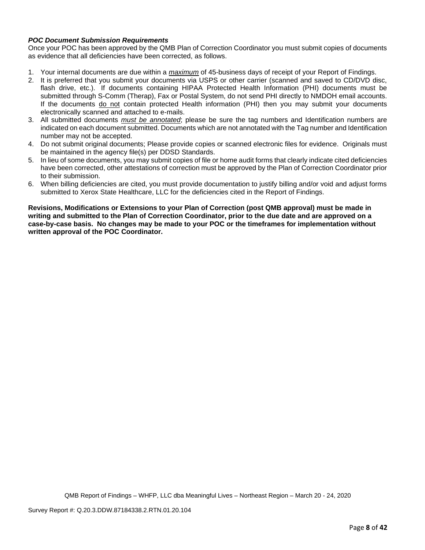# *POC Document Submission Requirements*

Once your POC has been approved by the QMB Plan of Correction Coordinator you must submit copies of documents as evidence that all deficiencies have been corrected, as follows.

- 1. Your internal documents are due within a *maximum* of 45-business days of receipt of your Report of Findings.
- 2. It is preferred that you submit your documents via USPS or other carrier (scanned and saved to CD/DVD disc, flash drive, etc.). If documents containing HIPAA Protected Health Information (PHI) documents must be submitted through S-Comm (Therap), Fax or Postal System, do not send PHI directly to NMDOH email accounts. If the documents do not contain protected Health information (PHI) then you may submit your documents electronically scanned and attached to e-mails.
- 3. All submitted documents *must be annotated*; please be sure the tag numbers and Identification numbers are indicated on each document submitted. Documents which are not annotated with the Tag number and Identification number may not be accepted.
- 4. Do not submit original documents; Please provide copies or scanned electronic files for evidence. Originals must be maintained in the agency file(s) per DDSD Standards.
- 5. In lieu of some documents, you may submit copies of file or home audit forms that clearly indicate cited deficiencies have been corrected, other attestations of correction must be approved by the Plan of Correction Coordinator prior to their submission.
- 6. When billing deficiencies are cited, you must provide documentation to justify billing and/or void and adjust forms submitted to Xerox State Healthcare, LLC for the deficiencies cited in the Report of Findings.

**Revisions, Modifications or Extensions to your Plan of Correction (post QMB approval) must be made in writing and submitted to the Plan of Correction Coordinator, prior to the due date and are approved on a case-by-case basis. No changes may be made to your POC or the timeframes for implementation without written approval of the POC Coordinator.**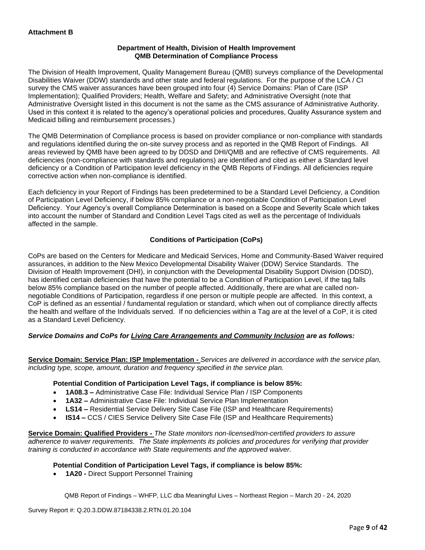# **Department of Health, Division of Health Improvement QMB Determination of Compliance Process**

The Division of Health Improvement, Quality Management Bureau (QMB) surveys compliance of the Developmental Disabilities Waiver (DDW) standards and other state and federal regulations. For the purpose of the LCA / CI survey the CMS waiver assurances have been grouped into four (4) Service Domains: Plan of Care (ISP Implementation); Qualified Providers; Health, Welfare and Safety; and Administrative Oversight (note that Administrative Oversight listed in this document is not the same as the CMS assurance of Administrative Authority. Used in this context it is related to the agency's operational policies and procedures, Quality Assurance system and Medicaid billing and reimbursement processes.)

The QMB Determination of Compliance process is based on provider compliance or non-compliance with standards and regulations identified during the on-site survey process and as reported in the QMB Report of Findings. All areas reviewed by QMB have been agreed to by DDSD and DHI/QMB and are reflective of CMS requirements. All deficiencies (non-compliance with standards and regulations) are identified and cited as either a Standard level deficiency or a Condition of Participation level deficiency in the QMB Reports of Findings. All deficiencies require corrective action when non-compliance is identified.

Each deficiency in your Report of Findings has been predetermined to be a Standard Level Deficiency, a Condition of Participation Level Deficiency, if below 85% compliance or a non-negotiable Condition of Participation Level Deficiency. Your Agency's overall Compliance Determination is based on a Scope and Severity Scale which takes into account the number of Standard and Condition Level Tags cited as well as the percentage of Individuals affected in the sample.

# **Conditions of Participation (CoPs)**

CoPs are based on the Centers for Medicare and Medicaid Services, Home and Community-Based Waiver required assurances, in addition to the New Mexico Developmental Disability Waiver (DDW) Service Standards. The Division of Health Improvement (DHI), in conjunction with the Developmental Disability Support Division (DDSD), has identified certain deficiencies that have the potential to be a Condition of Participation Level, if the tag falls below 85% compliance based on the number of people affected. Additionally, there are what are called nonnegotiable Conditions of Participation, regardless if one person or multiple people are affected. In this context, a CoP is defined as an essential / fundamental regulation or standard, which when out of compliance directly affects the health and welfare of the Individuals served. If no deficiencies within a Tag are at the level of a CoP, it is cited as a Standard Level Deficiency.

# *Service Domains and CoPs for Living Care Arrangements and Community Inclusion are as follows:*

**Service Domain: Service Plan: ISP Implementation -** *Services are delivered in accordance with the service plan, including type, scope, amount, duration and frequency specified in the service plan.*

#### **Potential Condition of Participation Level Tags, if compliance is below 85%:**

- **1A08.3 –** Administrative Case File: Individual Service Plan / ISP Components
- **1A32 –** Administrative Case File: Individual Service Plan Implementation
- **LS14 –** Residential Service Delivery Site Case File (ISP and Healthcare Requirements)
- **IS14 –** CCS / CIES Service Delivery Site Case File (ISP and Healthcare Requirements)

**Service Domain: Qualified Providers -** *The State monitors non-licensed/non-certified providers to assure adherence to waiver requirements. The State implements its policies and procedures for verifying that provider training is conducted in accordance with State requirements and the approved waiver.*

#### **Potential Condition of Participation Level Tags, if compliance is below 85%:**

• **1A20 -** Direct Support Personnel Training

QMB Report of Findings – WHFP, LLC dba Meaningful Lives – Northeast Region – March 20 - 24, 2020

Survey Report #: Q.20.3.DDW.87184338.2.RTN.01.20.104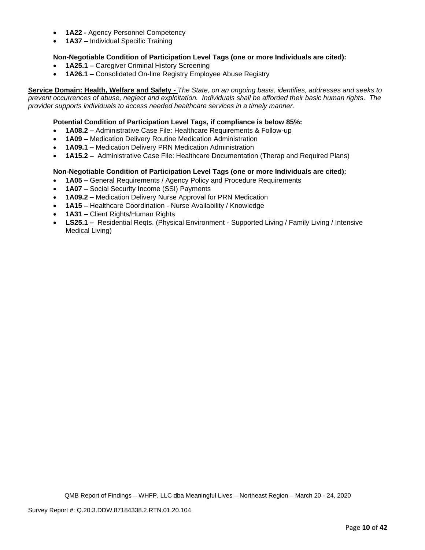- **1A22 -** Agency Personnel Competency
- **1A37 –** Individual Specific Training

# **Non-Negotiable Condition of Participation Level Tags (one or more Individuals are cited):**

- **1A25.1 –** Caregiver Criminal History Screening
- **1A26.1 –** Consolidated On-line Registry Employee Abuse Registry

**Service Domain: Health, Welfare and Safety -** *The State, on an ongoing basis, identifies, addresses and seeks to prevent occurrences of abuse, neglect and exploitation. Individuals shall be afforded their basic human rights. The provider supports individuals to access needed healthcare services in a timely manner.*

#### **Potential Condition of Participation Level Tags, if compliance is below 85%:**

- **1A08.2 –** Administrative Case File: Healthcare Requirements & Follow-up
- **1A09 –** Medication Delivery Routine Medication Administration
- **1A09.1 –** Medication Delivery PRN Medication Administration
- **1A15.2 –** Administrative Case File: Healthcare Documentation (Therap and Required Plans)

#### **Non-Negotiable Condition of Participation Level Tags (one or more Individuals are cited):**

- **1A05 –** General Requirements / Agency Policy and Procedure Requirements
- **1A07 –** Social Security Income (SSI) Payments
- **1A09.2 –** Medication Delivery Nurse Approval for PRN Medication
- **1A15 –** Healthcare Coordination Nurse Availability / Knowledge
- **1A31 –** Client Rights/Human Rights
- **LS25.1 –** Residential Reqts. (Physical Environment Supported Living / Family Living / Intensive Medical Living)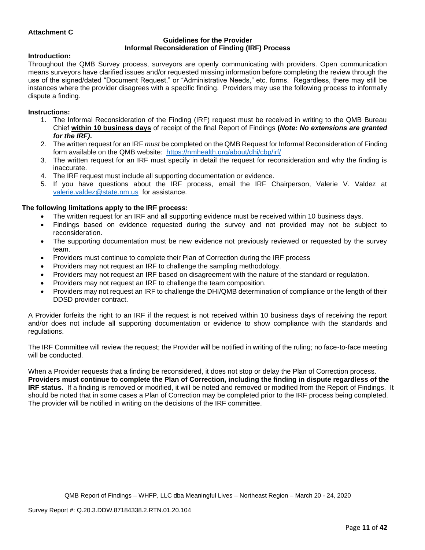# **Attachment C**

#### **Guidelines for the Provider Informal Reconsideration of Finding (IRF) Process**

#### **Introduction:**

Throughout the QMB Survey process, surveyors are openly communicating with providers. Open communication means surveyors have clarified issues and/or requested missing information before completing the review through the use of the signed/dated "Document Request," or "Administrative Needs," etc. forms. Regardless, there may still be instances where the provider disagrees with a specific finding. Providers may use the following process to informally dispute a finding.

#### **Instructions:**

- 1. The Informal Reconsideration of the Finding (IRF) request must be received in writing to the QMB Bureau Chief **within 10 business days** of receipt of the final Report of Findings **(***Note: No extensions are granted for the IRF)***.**
- 2. The written request for an IRF *must* be completed on the QMB Request for Informal Reconsideration of Finding form available on the QMB website: <https://nmhealth.org/about/dhi/cbp/irf/>
- 3. The written request for an IRF must specify in detail the request for reconsideration and why the finding is inaccurate.
- 4. The IRF request must include all supporting documentation or evidence.
- 5. If you have questions about the IRF process, email the IRF Chairperson, Valerie V. Valdez at [valerie.valdez@state.nm.us](mailto:valerie.valdez@state.nm.us) for assistance.

#### **The following limitations apply to the IRF process:**

- The written request for an IRF and all supporting evidence must be received within 10 business days.
- Findings based on evidence requested during the survey and not provided may not be subject to reconsideration.
- The supporting documentation must be new evidence not previously reviewed or requested by the survey team.
- Providers must continue to complete their Plan of Correction during the IRF process
- Providers may not request an IRF to challenge the sampling methodology.
- Providers may not request an IRF based on disagreement with the nature of the standard or regulation.
- Providers may not request an IRF to challenge the team composition.
- Providers may not request an IRF to challenge the DHI/QMB determination of compliance or the length of their DDSD provider contract.

A Provider forfeits the right to an IRF if the request is not received within 10 business days of receiving the report and/or does not include all supporting documentation or evidence to show compliance with the standards and regulations.

The IRF Committee will review the request; the Provider will be notified in writing of the ruling; no face-to-face meeting will be conducted.

When a Provider requests that a finding be reconsidered, it does not stop or delay the Plan of Correction process. **Providers must continue to complete the Plan of Correction, including the finding in dispute regardless of the IRF status.** If a finding is removed or modified, it will be noted and removed or modified from the Report of Findings. It should be noted that in some cases a Plan of Correction may be completed prior to the IRF process being completed. The provider will be notified in writing on the decisions of the IRF committee.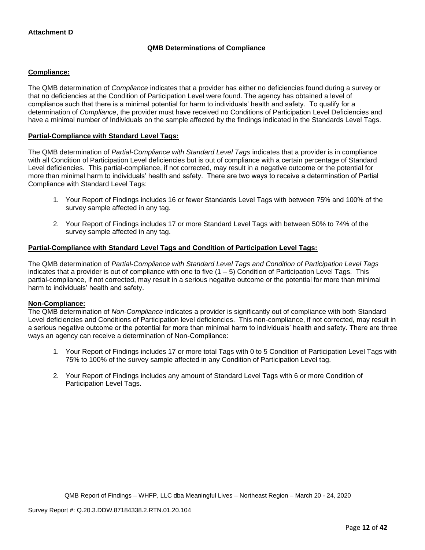# **QMB Determinations of Compliance**

# **Compliance:**

The QMB determination of *Compliance* indicates that a provider has either no deficiencies found during a survey or that no deficiencies at the Condition of Participation Level were found. The agency has obtained a level of compliance such that there is a minimal potential for harm to individuals' health and safety. To qualify for a determination of *Compliance*, the provider must have received no Conditions of Participation Level Deficiencies and have a minimal number of Individuals on the sample affected by the findings indicated in the Standards Level Tags.

# **Partial-Compliance with Standard Level Tags:**

The QMB determination of *Partial-Compliance with Standard Level Tags* indicates that a provider is in compliance with all Condition of Participation Level deficiencies but is out of compliance with a certain percentage of Standard Level deficiencies. This partial-compliance, if not corrected, may result in a negative outcome or the potential for more than minimal harm to individuals' health and safety. There are two ways to receive a determination of Partial Compliance with Standard Level Tags:

- 1. Your Report of Findings includes 16 or fewer Standards Level Tags with between 75% and 100% of the survey sample affected in any tag.
- 2. Your Report of Findings includes 17 or more Standard Level Tags with between 50% to 74% of the survey sample affected in any tag.

# **Partial-Compliance with Standard Level Tags and Condition of Participation Level Tags:**

The QMB determination of *Partial-Compliance with Standard Level Tags and Condition of Participation Level Tags*  indicates that a provider is out of compliance with one to five  $(1 - 5)$  Condition of Participation Level Tags. This partial-compliance, if not corrected, may result in a serious negative outcome or the potential for more than minimal harm to individuals' health and safety.

#### **Non-Compliance:**

The QMB determination of *Non-Compliance* indicates a provider is significantly out of compliance with both Standard Level deficiencies and Conditions of Participation level deficiencies. This non-compliance, if not corrected, may result in a serious negative outcome or the potential for more than minimal harm to individuals' health and safety. There are three ways an agency can receive a determination of Non-Compliance:

- 1. Your Report of Findings includes 17 or more total Tags with 0 to 5 Condition of Participation Level Tags with 75% to 100% of the survey sample affected in any Condition of Participation Level tag.
- 2. Your Report of Findings includes any amount of Standard Level Tags with 6 or more Condition of Participation Level Tags.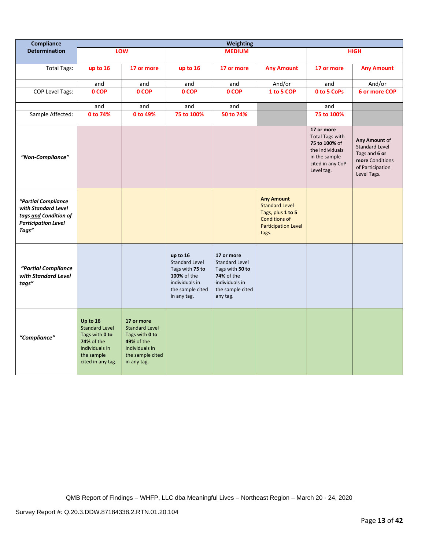| Compliance                                                                                                 |                                                                                                                        |                                                                                                                          |                                                                                                                          | <b>Weighting</b>                                                                                                       |                                                                                                                                |                                                                                                                             |                                                                                                               |
|------------------------------------------------------------------------------------------------------------|------------------------------------------------------------------------------------------------------------------------|--------------------------------------------------------------------------------------------------------------------------|--------------------------------------------------------------------------------------------------------------------------|------------------------------------------------------------------------------------------------------------------------|--------------------------------------------------------------------------------------------------------------------------------|-----------------------------------------------------------------------------------------------------------------------------|---------------------------------------------------------------------------------------------------------------|
| <b>Determination</b>                                                                                       |                                                                                                                        | LOW                                                                                                                      |                                                                                                                          | <b>MEDIUM</b>                                                                                                          |                                                                                                                                |                                                                                                                             | <b>HIGH</b>                                                                                                   |
| <b>Total Tags:</b>                                                                                         | up to 16                                                                                                               | 17 or more                                                                                                               | up to 16                                                                                                                 | 17 or more                                                                                                             | <b>Any Amount</b>                                                                                                              | 17 or more                                                                                                                  | <b>Any Amount</b>                                                                                             |
|                                                                                                            | and                                                                                                                    | and                                                                                                                      | and                                                                                                                      | and                                                                                                                    | And/or                                                                                                                         | and                                                                                                                         | And/or                                                                                                        |
| <b>COP Level Tags:</b>                                                                                     | 0 COP                                                                                                                  | 0 COP                                                                                                                    | 0 COP                                                                                                                    | 0 COP                                                                                                                  | 1 to 5 COP                                                                                                                     | 0 to 5 CoPs                                                                                                                 | 6 or more COP                                                                                                 |
|                                                                                                            |                                                                                                                        |                                                                                                                          |                                                                                                                          |                                                                                                                        |                                                                                                                                |                                                                                                                             |                                                                                                               |
|                                                                                                            | and<br>0 to 74%                                                                                                        | and<br>0 to 49%                                                                                                          | and<br>75 to 100%                                                                                                        | and<br>50 to 74%                                                                                                       |                                                                                                                                | and<br>75 to 100%                                                                                                           |                                                                                                               |
| Sample Affected:                                                                                           |                                                                                                                        |                                                                                                                          |                                                                                                                          |                                                                                                                        |                                                                                                                                |                                                                                                                             |                                                                                                               |
| "Non-Compliance"                                                                                           |                                                                                                                        |                                                                                                                          |                                                                                                                          |                                                                                                                        |                                                                                                                                | 17 or more<br><b>Total Tags with</b><br>75 to 100% of<br>the Individuals<br>in the sample<br>cited in any CoP<br>Level tag. | Any Amount of<br><b>Standard Level</b><br>Tags and 6 or<br>more Conditions<br>of Participation<br>Level Tags. |
| "Partial Compliance<br>with Standard Level<br>tags and Condition of<br><b>Participation Level</b><br>Tags" |                                                                                                                        |                                                                                                                          |                                                                                                                          |                                                                                                                        | <b>Any Amount</b><br><b>Standard Level</b><br>Tags, plus 1 to 5<br><b>Conditions of</b><br><b>Participation Level</b><br>tags. |                                                                                                                             |                                                                                                               |
| "Partial Compliance<br>with Standard Level<br>tags"                                                        |                                                                                                                        |                                                                                                                          | up to 16<br><b>Standard Level</b><br>Tags with 75 to<br>100% of the<br>individuals in<br>the sample cited<br>in any tag. | 17 or more<br>Standard Level<br>Tags with 50 to<br><b>74%</b> of the<br>individuals in<br>the sample cited<br>any tag. |                                                                                                                                |                                                                                                                             |                                                                                                               |
| "Compliance"                                                                                               | Up to 16<br><b>Standard Level</b><br>Tags with 0 to<br>74% of the<br>individuals in<br>the sample<br>cited in any tag. | 17 or more<br><b>Standard Level</b><br>Tags with 0 to<br>49% of the<br>individuals in<br>the sample cited<br>in any tag. |                                                                                                                          |                                                                                                                        |                                                                                                                                |                                                                                                                             |                                                                                                               |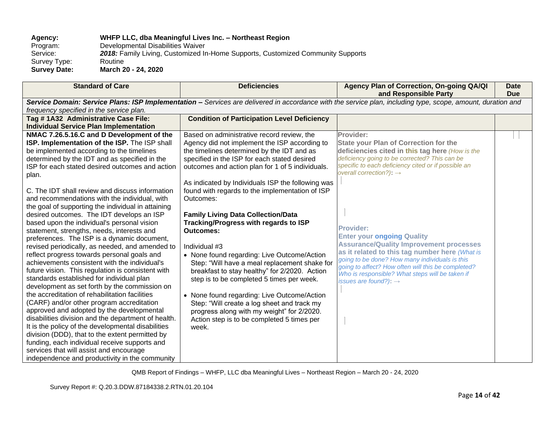# **Agency: WHFP LLC, dba Meaningful Lives Inc. – Northeast Region**

Program: Developmental Disabilities Waiver<br>Service: 2018: Family Living, Customized In 2018: Family Living, Customized In-Home Supports, Customized Community Supports<br>Routine Survey Type:<br>Survey Date: **Survey Date: March 20 - 24, 2020**

| <b>Standard of Care</b>                             | <b>Deficiencies</b>                                | Agency Plan of Correction, On-going QA/QI<br>and Responsible Party                                                                                          | <b>Date</b><br><b>Due</b> |
|-----------------------------------------------------|----------------------------------------------------|-------------------------------------------------------------------------------------------------------------------------------------------------------------|---------------------------|
|                                                     |                                                    | Service Domain: Service Plans: ISP Implementation - Services are delivered in accordance with the service plan, including type, scope, amount, duration and |                           |
| frequency specified in the service plan.            |                                                    |                                                                                                                                                             |                           |
| Tag #1A32 Administrative Case File:                 | <b>Condition of Participation Level Deficiency</b> |                                                                                                                                                             |                           |
| <b>Individual Service Plan Implementation</b>       |                                                    |                                                                                                                                                             |                           |
| NMAC 7.26.5.16.C and D Development of the           | Based on administrative record review, the         | Provider:                                                                                                                                                   |                           |
| ISP. Implementation of the ISP. The ISP shall       | Agency did not implement the ISP according to      | <b>State your Plan of Correction for the</b>                                                                                                                |                           |
| be implemented according to the timelines           | the timelines determined by the IDT and as         | deficiencies cited in this tag here (How is the                                                                                                             |                           |
| determined by the IDT and as specified in the       | specified in the ISP for each stated desired       | deficiency going to be corrected? This can be                                                                                                               |                           |
| ISP for each stated desired outcomes and action     | outcomes and action plan for 1 of 5 individuals.   | specific to each deficiency cited or if possible an                                                                                                         |                           |
| plan.                                               |                                                    | overall correction?): $\rightarrow$                                                                                                                         |                           |
|                                                     | As indicated by Individuals ISP the following was  |                                                                                                                                                             |                           |
| C. The IDT shall review and discuss information     | found with regards to the implementation of ISP    |                                                                                                                                                             |                           |
| and recommendations with the individual, with       | Outcomes:                                          |                                                                                                                                                             |                           |
| the goal of supporting the individual in attaining  |                                                    |                                                                                                                                                             |                           |
| desired outcomes. The IDT develops an ISP           | <b>Family Living Data Collection/Data</b>          |                                                                                                                                                             |                           |
| based upon the individual's personal vision         | Tracking/Progress with regards to ISP              |                                                                                                                                                             |                           |
| statement, strengths, needs, interests and          | <b>Outcomes:</b>                                   | <b>Provider:</b>                                                                                                                                            |                           |
| preferences. The ISP is a dynamic document,         |                                                    | <b>Enter your ongoing Quality</b>                                                                                                                           |                           |
| revised periodically, as needed, and amended to     | Individual #3                                      | <b>Assurance/Quality Improvement processes</b>                                                                                                              |                           |
| reflect progress towards personal goals and         | • None found regarding: Live Outcome/Action        | as it related to this tag number here (What is                                                                                                              |                           |
| achievements consistent with the individual's       | Step: "Will have a meal replacement shake for      | going to be done? How many individuals is this<br>going to affect? How often will this be completed?                                                        |                           |
| future vision. This regulation is consistent with   | breakfast to stay healthy" for 2/2020. Action      | Who is responsible? What steps will be taken if                                                                                                             |                           |
| standards established for individual plan           | step is to be completed 5 times per week.          | issues are found?): $\rightarrow$                                                                                                                           |                           |
| development as set forth by the commission on       |                                                    |                                                                                                                                                             |                           |
| the accreditation of rehabilitation facilities      | • None found regarding: Live Outcome/Action        |                                                                                                                                                             |                           |
| (CARF) and/or other program accreditation           | Step: "Will create a log sheet and track my        |                                                                                                                                                             |                           |
| approved and adopted by the developmental           | progress along with my weight" for 2/2020.         |                                                                                                                                                             |                           |
| disabilities division and the department of health. | Action step is to be completed 5 times per         |                                                                                                                                                             |                           |
| It is the policy of the developmental disabilities  | week.                                              |                                                                                                                                                             |                           |
| division (DDD), that to the extent permitted by     |                                                    |                                                                                                                                                             |                           |
| funding, each individual receive supports and       |                                                    |                                                                                                                                                             |                           |
| services that will assist and encourage             |                                                    |                                                                                                                                                             |                           |
| independence and productivity in the community      |                                                    |                                                                                                                                                             |                           |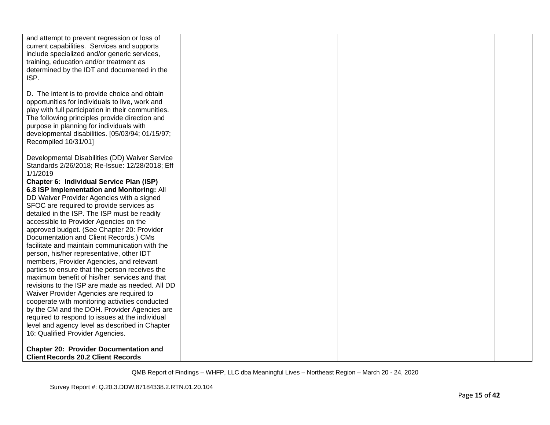| and attempt to prevent regression or loss of<br>current capabilities. Services and supports<br>include specialized and/or generic services,<br>training, education and/or treatment as<br>determined by the IDT and documented in the<br>ISP.                                                                                    |  |  |
|----------------------------------------------------------------------------------------------------------------------------------------------------------------------------------------------------------------------------------------------------------------------------------------------------------------------------------|--|--|
| D. The intent is to provide choice and obtain<br>opportunities for individuals to live, work and<br>play with full participation in their communities.<br>The following principles provide direction and<br>purpose in planning for individuals with<br>developmental disabilities. [05/03/94; 01/15/97;<br>Recompiled 10/31/01] |  |  |
| Developmental Disabilities (DD) Waiver Service<br>Standards 2/26/2018; Re-Issue: 12/28/2018; Eff<br>1/1/2019                                                                                                                                                                                                                     |  |  |
| Chapter 6: Individual Service Plan (ISP)                                                                                                                                                                                                                                                                                         |  |  |
| 6.8 ISP Implementation and Monitoring: All                                                                                                                                                                                                                                                                                       |  |  |
| DD Waiver Provider Agencies with a signed                                                                                                                                                                                                                                                                                        |  |  |
| SFOC are required to provide services as                                                                                                                                                                                                                                                                                         |  |  |
| detailed in the ISP. The ISP must be readily                                                                                                                                                                                                                                                                                     |  |  |
| accessible to Provider Agencies on the                                                                                                                                                                                                                                                                                           |  |  |
| approved budget. (See Chapter 20: Provider                                                                                                                                                                                                                                                                                       |  |  |
| Documentation and Client Records.) CMs                                                                                                                                                                                                                                                                                           |  |  |
| facilitate and maintain communication with the<br>person, his/her representative, other IDT                                                                                                                                                                                                                                      |  |  |
| members, Provider Agencies, and relevant                                                                                                                                                                                                                                                                                         |  |  |
| parties to ensure that the person receives the                                                                                                                                                                                                                                                                                   |  |  |
| maximum benefit of his/her services and that                                                                                                                                                                                                                                                                                     |  |  |
| revisions to the ISP are made as needed. All DD                                                                                                                                                                                                                                                                                  |  |  |
| Waiver Provider Agencies are required to                                                                                                                                                                                                                                                                                         |  |  |
| cooperate with monitoring activities conducted<br>by the CM and the DOH. Provider Agencies are                                                                                                                                                                                                                                   |  |  |
| required to respond to issues at the individual                                                                                                                                                                                                                                                                                  |  |  |
| level and agency level as described in Chapter                                                                                                                                                                                                                                                                                   |  |  |
| 16: Qualified Provider Agencies.                                                                                                                                                                                                                                                                                                 |  |  |
| <b>Chapter 20: Provider Documentation and</b>                                                                                                                                                                                                                                                                                    |  |  |
| <b>Client Records 20.2 Client Records</b>                                                                                                                                                                                                                                                                                        |  |  |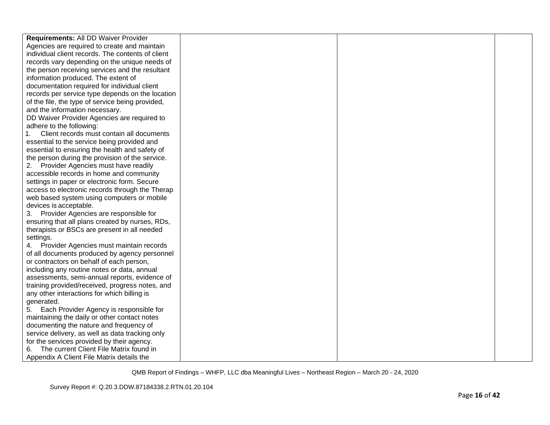| Requirements: All DD Waiver Provider              |  |  |
|---------------------------------------------------|--|--|
| Agencies are required to create and maintain      |  |  |
| individual client records. The contents of client |  |  |
| records vary depending on the unique needs of     |  |  |
| the person receiving services and the resultant   |  |  |
| information produced. The extent of               |  |  |
| documentation required for individual client      |  |  |
| records per service type depends on the location  |  |  |
| of the file, the type of service being provided,  |  |  |
| and the information necessary.                    |  |  |
| DD Waiver Provider Agencies are required to       |  |  |
| adhere to the following:                          |  |  |
| Client records must contain all documents         |  |  |
| essential to the service being provided and       |  |  |
| essential to ensuring the health and safety of    |  |  |
| the person during the provision of the service.   |  |  |
| 2. Provider Agencies must have readily            |  |  |
| accessible records in home and community          |  |  |
| settings in paper or electronic form. Secure      |  |  |
| access to electronic records through the Therap   |  |  |
| web based system using computers or mobile        |  |  |
| devices is acceptable.                            |  |  |
| 3. Provider Agencies are responsible for          |  |  |
| ensuring that all plans created by nurses, RDs,   |  |  |
| therapists or BSCs are present in all needed      |  |  |
| settings.                                         |  |  |
| 4. Provider Agencies must maintain records        |  |  |
| of all documents produced by agency personnel     |  |  |
| or contractors on behalf of each person,          |  |  |
| including any routine notes or data, annual       |  |  |
| assessments, semi-annual reports, evidence of     |  |  |
| training provided/received, progress notes, and   |  |  |
| any other interactions for which billing is       |  |  |
| generated.                                        |  |  |
| Each Provider Agency is responsible for<br>5.     |  |  |
| maintaining the daily or other contact notes      |  |  |
| documenting the nature and frequency of           |  |  |
| service delivery, as well as data tracking only   |  |  |
| for the services provided by their agency.        |  |  |
| The current Client File Matrix found in<br>6.     |  |  |
| Appendix A Client File Matrix details the         |  |  |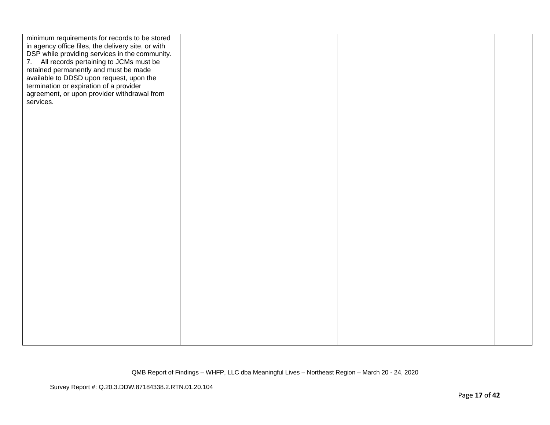| minimum requirements for records to be stored<br>in agency office files, the delivery site, or with<br>DSP while providing services in the community.<br>7. All records pertaining to JCMs must be<br>retained permanently and must be made<br>available to DDSD upon request, upon the<br>termination or expiration of a provider<br>agreement, or upon provider withdrawal from<br>services. |  |  |
|------------------------------------------------------------------------------------------------------------------------------------------------------------------------------------------------------------------------------------------------------------------------------------------------------------------------------------------------------------------------------------------------|--|--|
|                                                                                                                                                                                                                                                                                                                                                                                                |  |  |
|                                                                                                                                                                                                                                                                                                                                                                                                |  |  |
|                                                                                                                                                                                                                                                                                                                                                                                                |  |  |
|                                                                                                                                                                                                                                                                                                                                                                                                |  |  |
|                                                                                                                                                                                                                                                                                                                                                                                                |  |  |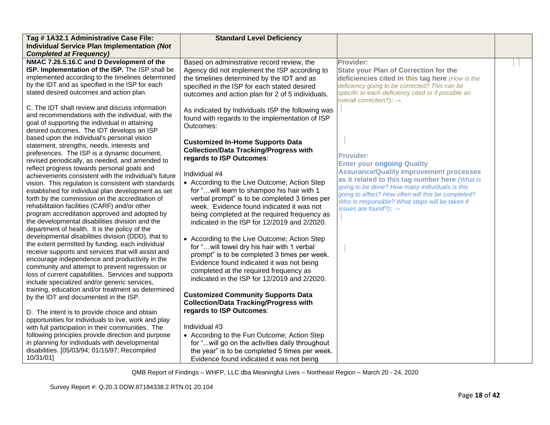| Tag #1A32.1 Administrative Case File:                                                                 | <b>Standard Level Deficiency</b>                  |                                                                                            |  |
|-------------------------------------------------------------------------------------------------------|---------------------------------------------------|--------------------------------------------------------------------------------------------|--|
| Individual Service Plan Implementation (Not                                                           |                                                   |                                                                                            |  |
| <b>Completed at Frequency)</b>                                                                        |                                                   |                                                                                            |  |
| NMAC 7.26.5.16.C and D Development of the                                                             | Based on administrative record review, the        | Provider:                                                                                  |  |
| ISP. Implementation of the ISP. The ISP shall be                                                      | Agency did not implement the ISP according to     | <b>State your Plan of Correction for the</b>                                               |  |
| implemented according to the timelines determined                                                     | the timelines determined by the IDT and as        | deficiencies cited in this tag here (How is the                                            |  |
| by the IDT and as specified in the ISP for each<br>stated desired outcomes and action plan.           | specified in the ISP for each stated desired      | deficiency going to be corrected? This can be                                              |  |
|                                                                                                       | outcomes and action plan for 2 of 5 individuals.  | specific to each deficiency cited or if possible an<br>overall correction?): $\rightarrow$ |  |
| C. The IDT shall review and discuss information                                                       | As indicated by Individuals ISP the following was |                                                                                            |  |
| and recommendations with the individual, with the                                                     | found with regards to the implementation of ISP   |                                                                                            |  |
| goal of supporting the individual in attaining                                                        | Outcomes:                                         |                                                                                            |  |
| desired outcomes. The IDT develops an ISP                                                             |                                                   |                                                                                            |  |
| based upon the individual's personal vision                                                           | <b>Customized In-Home Supports Data</b>           |                                                                                            |  |
| statement, strengths, needs, interests and                                                            | <b>Collection/Data Tracking/Progress with</b>     |                                                                                            |  |
| preferences. The ISP is a dynamic document,                                                           | regards to ISP Outcomes:                          | <b>Provider:</b>                                                                           |  |
| revised periodically, as needed, and amended to                                                       |                                                   | <b>Enter your ongoing Quality</b>                                                          |  |
| reflect progress towards personal goals and<br>achievements consistent with the individual's future   | Individual #4                                     | <b>Assurance/Quality Improvement processes</b>                                             |  |
| vision. This regulation is consistent with standards                                                  | • According to the Live Outcome; Action Step      | as it related to this tag number here (What is                                             |  |
| established for individual plan development as set                                                    | for " will learn to shampoo his hair with 1       | going to be done? How many individuals is this                                             |  |
| forth by the commission on the accreditation of                                                       | verbal prompt" is to be completed 3 times per     | going to affect? How often will this be completed?                                         |  |
| rehabilitation facilities (CARF) and/or other                                                         | week. Evidence found indicated it was not         | Who is responsible? What steps will be taken if<br>issues are found?): $\rightarrow$       |  |
| program accreditation approved and adopted by                                                         | being completed at the required frequency as      |                                                                                            |  |
| the developmental disabilities division and the                                                       | indicated in the ISP for 12/2019 and 2/2020.      |                                                                                            |  |
| department of health. It is the policy of the                                                         |                                                   |                                                                                            |  |
| developmental disabilities division (DDD), that to                                                    | • According to the Live Outcome; Action Step      |                                                                                            |  |
| the extent permitted by funding, each individual                                                      | for " will towel dry his hair with 1 verbal       |                                                                                            |  |
| receive supports and services that will assist and                                                    | prompt" is to be completed 3 times per week.      |                                                                                            |  |
| encourage independence and productivity in the                                                        | Evidence found indicated it was not being         |                                                                                            |  |
| community and attempt to prevent regression or<br>loss of current capabilities. Services and supports | completed at the required frequency as            |                                                                                            |  |
| include specialized and/or generic services,                                                          | indicated in the ISP for 12/2019 and 2/2020.      |                                                                                            |  |
| training, education and/or treatment as determined                                                    |                                                   |                                                                                            |  |
| by the IDT and documented in the ISP.                                                                 | <b>Customized Community Supports Data</b>         |                                                                                            |  |
|                                                                                                       | <b>Collection/Data Tracking/Progress with</b>     |                                                                                            |  |
| D. The intent is to provide choice and obtain                                                         | regards to ISP Outcomes:                          |                                                                                            |  |
| opportunities for individuals to live, work and play                                                  |                                                   |                                                                                            |  |
| with full participation in their communities. The                                                     | Individual #3                                     |                                                                                            |  |
| following principles provide direction and purpose                                                    | • According to the Fun Outcome; Action Step       |                                                                                            |  |
| in planning for individuals with developmental                                                        | for "will go on the activities daily throughout   |                                                                                            |  |
| disabilities. [05/03/94; 01/15/97; Recompiled                                                         | the year" is to be completed 5 times per week.    |                                                                                            |  |
| 10/31/01]                                                                                             | Evidence found indicated it was not being         |                                                                                            |  |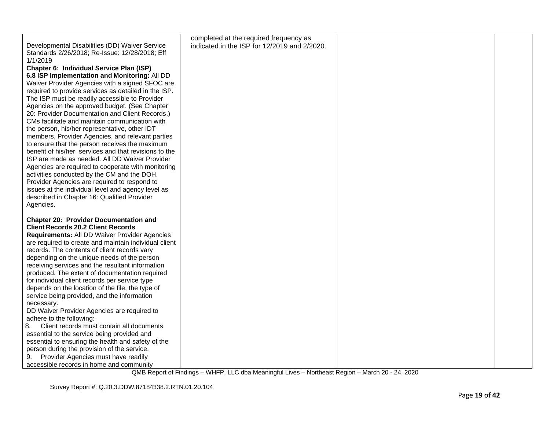|                                                       | completed at the required frequency as       |  |
|-------------------------------------------------------|----------------------------------------------|--|
| Developmental Disabilities (DD) Waiver Service        | indicated in the ISP for 12/2019 and 2/2020. |  |
| Standards 2/26/2018; Re-Issue: 12/28/2018; Eff        |                                              |  |
| 1/1/2019                                              |                                              |  |
| Chapter 6: Individual Service Plan (ISP)              |                                              |  |
|                                                       |                                              |  |
| 6.8 ISP Implementation and Monitoring: All DD         |                                              |  |
| Waiver Provider Agencies with a signed SFOC are       |                                              |  |
| required to provide services as detailed in the ISP.  |                                              |  |
| The ISP must be readily accessible to Provider        |                                              |  |
| Agencies on the approved budget. (See Chapter         |                                              |  |
| 20: Provider Documentation and Client Records.)       |                                              |  |
| CMs facilitate and maintain communication with        |                                              |  |
| the person, his/her representative, other IDT         |                                              |  |
| members, Provider Agencies, and relevant parties      |                                              |  |
| to ensure that the person receives the maximum        |                                              |  |
| benefit of his/her services and that revisions to the |                                              |  |
| ISP are made as needed. All DD Waiver Provider        |                                              |  |
| Agencies are required to cooperate with monitoring    |                                              |  |
| activities conducted by the CM and the DOH.           |                                              |  |
| Provider Agencies are required to respond to          |                                              |  |
| issues at the individual level and agency level as    |                                              |  |
| described in Chapter 16: Qualified Provider           |                                              |  |
| Agencies.                                             |                                              |  |
|                                                       |                                              |  |
| <b>Chapter 20: Provider Documentation and</b>         |                                              |  |
| <b>Client Records 20.2 Client Records</b>             |                                              |  |
| Requirements: All DD Waiver Provider Agencies         |                                              |  |
| are required to create and maintain individual client |                                              |  |
| records. The contents of client records vary          |                                              |  |
| depending on the unique needs of the person           |                                              |  |
| receiving services and the resultant information      |                                              |  |
| produced. The extent of documentation required        |                                              |  |
| for individual client records per service type        |                                              |  |
| depends on the location of the file, the type of      |                                              |  |
| service being provided, and the information           |                                              |  |
| necessary.                                            |                                              |  |
| DD Waiver Provider Agencies are required to           |                                              |  |
| adhere to the following:                              |                                              |  |
| 8.<br>Client records must contain all documents       |                                              |  |
| essential to the service being provided and           |                                              |  |
| essential to ensuring the health and safety of the    |                                              |  |
| person during the provision of the service.           |                                              |  |
| Provider Agencies must have readily<br>9.             |                                              |  |
| accessible records in home and community              |                                              |  |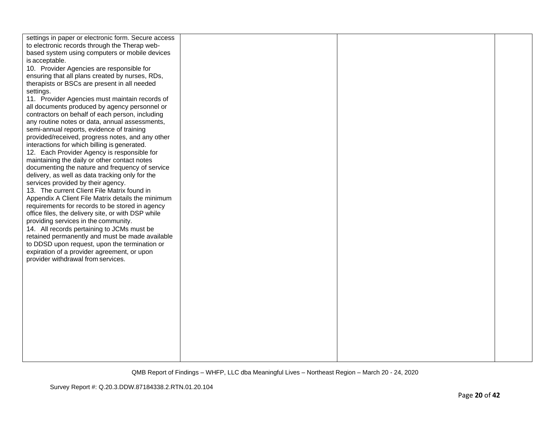| settings in paper or electronic form. Secure access |  |  |
|-----------------------------------------------------|--|--|
| to electronic records through the Therap web-       |  |  |
| based system using computers or mobile devices      |  |  |
| is acceptable.                                      |  |  |
| 10. Provider Agencies are responsible for           |  |  |
| ensuring that all plans created by nurses, RDs,     |  |  |
| therapists or BSCs are present in all needed        |  |  |
| settings.                                           |  |  |
|                                                     |  |  |
| 11. Provider Agencies must maintain records of      |  |  |
| all documents produced by agency personnel or       |  |  |
| contractors on behalf of each person, including     |  |  |
| any routine notes or data, annual assessments,      |  |  |
| semi-annual reports, evidence of training           |  |  |
| provided/received, progress notes, and any other    |  |  |
| interactions for which billing is generated.        |  |  |
| 12. Each Provider Agency is responsible for         |  |  |
| maintaining the daily or other contact notes        |  |  |
| documenting the nature and frequency of service     |  |  |
| delivery, as well as data tracking only for the     |  |  |
| services provided by their agency.                  |  |  |
| 13. The current Client File Matrix found in         |  |  |
| Appendix A Client File Matrix details the minimum   |  |  |
| requirements for records to be stored in agency     |  |  |
| office files, the delivery site, or with DSP while  |  |  |
| providing services in the community.                |  |  |
| 14. All records pertaining to JCMs must be          |  |  |
| retained permanently and must be made available     |  |  |
| to DDSD upon request, upon the termination or       |  |  |
|                                                     |  |  |
| expiration of a provider agreement, or upon         |  |  |
| provider withdrawal from services.                  |  |  |
|                                                     |  |  |
|                                                     |  |  |
|                                                     |  |  |
|                                                     |  |  |
|                                                     |  |  |
|                                                     |  |  |
|                                                     |  |  |
|                                                     |  |  |
|                                                     |  |  |
|                                                     |  |  |
|                                                     |  |  |
|                                                     |  |  |
|                                                     |  |  |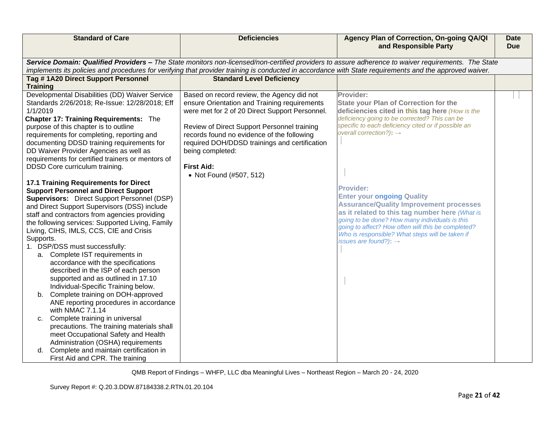| <b>Standard of Care</b>                                                         | <b>Deficiencies</b>                                                                                                                                     | Agency Plan of Correction, On-going QA/QI<br>and Responsible Party                                                                                  | <b>Date</b><br><b>Due</b> |
|---------------------------------------------------------------------------------|---------------------------------------------------------------------------------------------------------------------------------------------------------|-----------------------------------------------------------------------------------------------------------------------------------------------------|---------------------------|
|                                                                                 | implements its policies and procedures for verifying that provider training is conducted in accordance with State requirements and the approved waiver. | Service Domain: Qualified Providers - The State monitors non-licensed/non-certified providers to assure adherence to waiver requirements. The State |                           |
| Tag #1A20 Direct Support Personnel                                              | <b>Standard Level Deficiency</b>                                                                                                                        |                                                                                                                                                     |                           |
| <b>Training</b>                                                                 |                                                                                                                                                         |                                                                                                                                                     |                           |
| Developmental Disabilities (DD) Waiver Service                                  | Based on record review, the Agency did not                                                                                                              | Provider:                                                                                                                                           |                           |
| Standards 2/26/2018; Re-Issue: 12/28/2018; Eff<br>1/1/2019                      | ensure Orientation and Training requirements                                                                                                            | <b>State your Plan of Correction for the</b>                                                                                                        |                           |
| <b>Chapter 17: Training Requirements: The</b>                                   | were met for 2 of 20 Direct Support Personnel.                                                                                                          | deficiencies cited in this tag here (How is the<br>deficiency going to be corrected? This can be                                                    |                           |
| purpose of this chapter is to outline                                           | Review of Direct Support Personnel training                                                                                                             | specific to each deficiency cited or if possible an                                                                                                 |                           |
| requirements for completing, reporting and                                      | records found no evidence of the following                                                                                                              | overall correction?): $\rightarrow$                                                                                                                 |                           |
| documenting DDSD training requirements for                                      | required DOH/DDSD trainings and certification                                                                                                           |                                                                                                                                                     |                           |
| DD Waiver Provider Agencies as well as                                          | being completed:                                                                                                                                        |                                                                                                                                                     |                           |
| requirements for certified trainers or mentors of                               |                                                                                                                                                         |                                                                                                                                                     |                           |
| DDSD Core curriculum training.                                                  | <b>First Aid:</b>                                                                                                                                       |                                                                                                                                                     |                           |
| 17.1 Training Requirements for Direct                                           | • Not Found (#507, 512)                                                                                                                                 |                                                                                                                                                     |                           |
| <b>Support Personnel and Direct Support</b>                                     |                                                                                                                                                         | Provider:                                                                                                                                           |                           |
| <b>Supervisors:</b> Direct Support Personnel (DSP)                              |                                                                                                                                                         | <b>Enter your ongoing Quality</b>                                                                                                                   |                           |
| and Direct Support Supervisors (DSS) include                                    |                                                                                                                                                         | <b>Assurance/Quality Improvement processes</b>                                                                                                      |                           |
| staff and contractors from agencies providing                                   |                                                                                                                                                         | as it related to this tag number here (What is<br>going to be done? How many individuals is this                                                    |                           |
| the following services: Supported Living, Family                                |                                                                                                                                                         | going to affect? How often will this be completed?                                                                                                  |                           |
| Living, CIHS, IMLS, CCS, CIE and Crisis                                         |                                                                                                                                                         | Who is responsible? What steps will be taken if                                                                                                     |                           |
| Supports.<br>1. DSP/DSS must successfully:                                      |                                                                                                                                                         | issues are found?): $\rightarrow$                                                                                                                   |                           |
| a. Complete IST requirements in                                                 |                                                                                                                                                         |                                                                                                                                                     |                           |
| accordance with the specifications                                              |                                                                                                                                                         |                                                                                                                                                     |                           |
| described in the ISP of each person                                             |                                                                                                                                                         |                                                                                                                                                     |                           |
| supported and as outlined in 17.10                                              |                                                                                                                                                         |                                                                                                                                                     |                           |
| Individual-Specific Training below.                                             |                                                                                                                                                         |                                                                                                                                                     |                           |
| Complete training on DOH-approved<br>b.                                         |                                                                                                                                                         |                                                                                                                                                     |                           |
| ANE reporting procedures in accordance<br>with NMAC 7.1.14                      |                                                                                                                                                         |                                                                                                                                                     |                           |
| Complete training in universal<br>C.                                            |                                                                                                                                                         |                                                                                                                                                     |                           |
| precautions. The training materials shall                                       |                                                                                                                                                         |                                                                                                                                                     |                           |
| meet Occupational Safety and Health                                             |                                                                                                                                                         |                                                                                                                                                     |                           |
| Administration (OSHA) requirements                                              |                                                                                                                                                         |                                                                                                                                                     |                           |
| Complete and maintain certification in<br>d.<br>First Aid and CPR. The training |                                                                                                                                                         |                                                                                                                                                     |                           |
|                                                                                 |                                                                                                                                                         |                                                                                                                                                     |                           |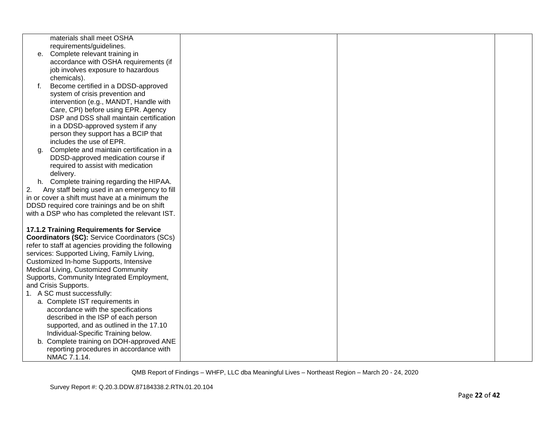|    | materials shall meet OSHA                            |  |  |
|----|------------------------------------------------------|--|--|
|    | requirements/guidelines.                             |  |  |
| е. | Complete relevant training in                        |  |  |
|    | accordance with OSHA requirements (if                |  |  |
|    | job involves exposure to hazardous                   |  |  |
|    | chemicals).                                          |  |  |
| f. | Become certified in a DDSD-approved                  |  |  |
|    | system of crisis prevention and                      |  |  |
|    | intervention (e.g., MANDT, Handle with               |  |  |
|    | Care, CPI) before using EPR. Agency                  |  |  |
|    | DSP and DSS shall maintain certification             |  |  |
|    | in a DDSD-approved system if any                     |  |  |
|    | person they support has a BCIP that                  |  |  |
|    | includes the use of EPR.                             |  |  |
| g. | Complete and maintain certification in a             |  |  |
|    | DDSD-approved medication course if                   |  |  |
|    | required to assist with medication                   |  |  |
|    | delivery.                                            |  |  |
|    | h. Complete training regarding the HIPAA.            |  |  |
| 2. | Any staff being used in an emergency to fill         |  |  |
|    | in or cover a shift must have at a minimum the       |  |  |
|    | DDSD required core trainings and be on shift         |  |  |
|    | with a DSP who has completed the relevant IST.       |  |  |
|    | 17.1.2 Training Requirements for Service             |  |  |
|    | <b>Coordinators (SC):</b> Service Coordinators (SCs) |  |  |
|    | refer to staff at agencies providing the following   |  |  |
|    | services: Supported Living, Family Living,           |  |  |
|    | Customized In-home Supports, Intensive               |  |  |
|    | Medical Living, Customized Community                 |  |  |
|    | Supports, Community Integrated Employment,           |  |  |
|    | and Crisis Supports.                                 |  |  |
|    | 1. A SC must successfully:                           |  |  |
|    | a. Complete IST requirements in                      |  |  |
|    | accordance with the specifications                   |  |  |
|    | described in the ISP of each person                  |  |  |
|    | supported, and as outlined in the 17.10              |  |  |
|    | Individual-Specific Training below.                  |  |  |
|    | b. Complete training on DOH-approved ANE             |  |  |
|    | reporting procedures in accordance with              |  |  |
|    | NMAC 7.1.14.                                         |  |  |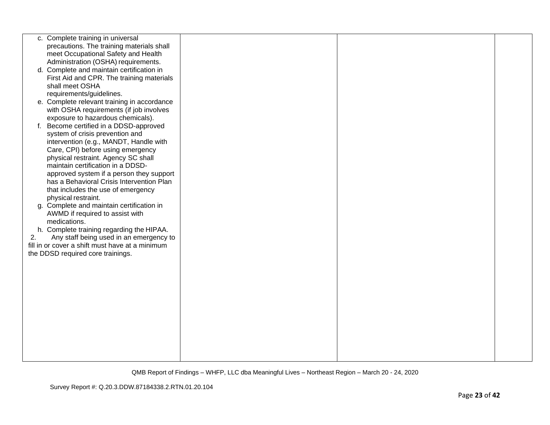|    | c. Complete training in universal               |  |  |
|----|-------------------------------------------------|--|--|
|    | precautions. The training materials shall       |  |  |
|    | meet Occupational Safety and Health             |  |  |
|    | Administration (OSHA) requirements.             |  |  |
|    | d. Complete and maintain certification in       |  |  |
|    | First Aid and CPR. The training materials       |  |  |
|    | shall meet OSHA                                 |  |  |
|    | requirements/guidelines.                        |  |  |
|    | e. Complete relevant training in accordance     |  |  |
|    | with OSHA requirements (if job involves         |  |  |
|    | exposure to hazardous chemicals).               |  |  |
| f. | Become certified in a DDSD-approved             |  |  |
|    | system of crisis prevention and                 |  |  |
|    | intervention (e.g., MANDT, Handle with          |  |  |
|    | Care, CPI) before using emergency               |  |  |
|    | physical restraint. Agency SC shall             |  |  |
|    | maintain certification in a DDSD-               |  |  |
|    |                                                 |  |  |
|    | approved system if a person they support        |  |  |
|    | has a Behavioral Crisis Intervention Plan       |  |  |
|    | that includes the use of emergency              |  |  |
|    | physical restraint.                             |  |  |
|    | g. Complete and maintain certification in       |  |  |
|    | AWMD if required to assist with                 |  |  |
|    | medications.                                    |  |  |
|    | h. Complete training regarding the HIPAA.       |  |  |
| 2. | Any staff being used in an emergency to         |  |  |
|    | fill in or cover a shift must have at a minimum |  |  |
|    | the DDSD required core trainings.               |  |  |
|    |                                                 |  |  |
|    |                                                 |  |  |
|    |                                                 |  |  |
|    |                                                 |  |  |
|    |                                                 |  |  |
|    |                                                 |  |  |
|    |                                                 |  |  |
|    |                                                 |  |  |
|    |                                                 |  |  |
|    |                                                 |  |  |
|    |                                                 |  |  |
|    |                                                 |  |  |
|    |                                                 |  |  |
|    |                                                 |  |  |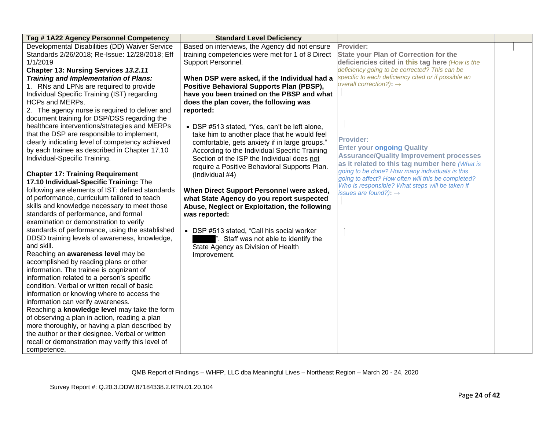| Tag #1A22 Agency Personnel Competency            | <b>Standard Level Deficiency</b>                 |                                                                                                       |  |
|--------------------------------------------------|--------------------------------------------------|-------------------------------------------------------------------------------------------------------|--|
| Developmental Disabilities (DD) Waiver Service   | Based on interviews, the Agency did not ensure   | Provider:                                                                                             |  |
| Standards 2/26/2018; Re-Issue: 12/28/2018; Eff   | training competencies were met for 1 of 8 Direct | <b>State your Plan of Correction for the</b>                                                          |  |
| 1/1/2019                                         | Support Personnel.                               | deficiencies cited in this tag here (How is the                                                       |  |
| <b>Chapter 13: Nursing Services 13.2.11</b>      |                                                  | deficiency going to be corrected? This can be                                                         |  |
| <b>Training and Implementation of Plans:</b>     | When DSP were asked, if the Individual had a     | specific to each deficiency cited or if possible an                                                   |  |
| 1. RNs and LPNs are required to provide          | Positive Behavioral Supports Plan (PBSP),        | overall correction?): $\rightarrow$                                                                   |  |
| Individual Specific Training (IST) regarding     | have you been trained on the PBSP and what       |                                                                                                       |  |
| HCPs and MERPs.                                  | does the plan cover, the following was           |                                                                                                       |  |
| 2. The agency nurse is required to deliver and   | reported:                                        |                                                                                                       |  |
| document training for DSP/DSS regarding the      |                                                  |                                                                                                       |  |
| healthcare interventions/strategies and MERPs    | • DSP #513 stated, "Yes, can't be left alone,    |                                                                                                       |  |
| that the DSP are responsible to implement,       | take him to another place that he would feel     |                                                                                                       |  |
| clearly indicating level of competency achieved  | comfortable, gets anxiety if in large groups."   | <b>Provider:</b>                                                                                      |  |
| by each trainee as described in Chapter 17.10    | According to the Individual Specific Training    | <b>Enter your ongoing Quality</b>                                                                     |  |
| Individual-Specific Training.                    | Section of the ISP the Individual does not       | <b>Assurance/Quality Improvement processes</b>                                                        |  |
|                                                  | require a Positive Behavioral Supports Plan.     | as it related to this tag number here (What is                                                        |  |
| <b>Chapter 17: Training Requirement</b>          | (Individual #4)                                  | going to be done? How many individuals is this                                                        |  |
| 17.10 Individual-Specific Training: The          |                                                  | going to affect? How often will this be completed?<br>Who is responsible? What steps will be taken if |  |
| following are elements of IST: defined standards | When Direct Support Personnel were asked,        | issues are found?): $\rightarrow$                                                                     |  |
| of performance, curriculum tailored to teach     | what State Agency do you report suspected        |                                                                                                       |  |
| skills and knowledge necessary to meet those     | Abuse, Neglect or Exploitation, the following    |                                                                                                       |  |
| standards of performance, and formal             | was reported:                                    |                                                                                                       |  |
| examination or demonstration to verify           |                                                  |                                                                                                       |  |
| standards of performance, using the established  | • DSP #513 stated, "Call his social worker       |                                                                                                       |  |
| DDSD training levels of awareness, knowledge,    | ". Staff was not able to identify the            |                                                                                                       |  |
| and skill.                                       | State Agency as Division of Health               |                                                                                                       |  |
| Reaching an awareness level may be               | Improvement.                                     |                                                                                                       |  |
| accomplished by reading plans or other           |                                                  |                                                                                                       |  |
| information. The trainee is cognizant of         |                                                  |                                                                                                       |  |
| information related to a person's specific       |                                                  |                                                                                                       |  |
| condition. Verbal or written recall of basic     |                                                  |                                                                                                       |  |
| information or knowing where to access the       |                                                  |                                                                                                       |  |
| information can verify awareness.                |                                                  |                                                                                                       |  |
| Reaching a knowledge level may take the form     |                                                  |                                                                                                       |  |
| of observing a plan in action, reading a plan    |                                                  |                                                                                                       |  |
| more thoroughly, or having a plan described by   |                                                  |                                                                                                       |  |
| the author or their designee. Verbal or written  |                                                  |                                                                                                       |  |
| recall or demonstration may verify this level of |                                                  |                                                                                                       |  |
| competence.                                      |                                                  |                                                                                                       |  |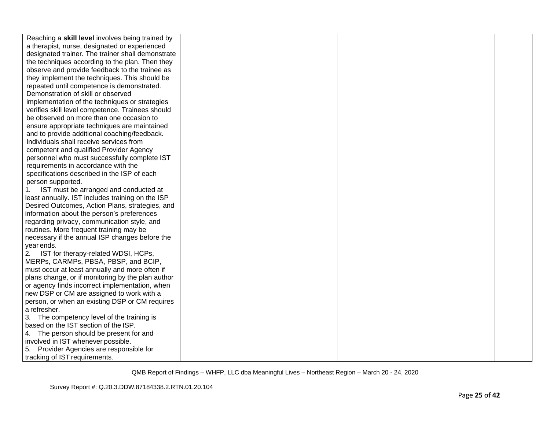| Reaching a skill level involves being trained by  |  |  |
|---------------------------------------------------|--|--|
| a therapist, nurse, designated or experienced     |  |  |
| designated trainer. The trainer shall demonstrate |  |  |
| the techniques according to the plan. Then they   |  |  |
| observe and provide feedback to the trainee as    |  |  |
| they implement the techniques. This should be     |  |  |
| repeated until competence is demonstrated.        |  |  |
| Demonstration of skill or observed                |  |  |
| implementation of the techniques or strategies    |  |  |
| verifies skill level competence. Trainees should  |  |  |
| be observed on more than one occasion to          |  |  |
| ensure appropriate techniques are maintained      |  |  |
| and to provide additional coaching/feedback.      |  |  |
| Individuals shall receive services from           |  |  |
| competent and qualified Provider Agency           |  |  |
| personnel who must successfully complete IST      |  |  |
| requirements in accordance with the               |  |  |
| specifications described in the ISP of each       |  |  |
| person supported.                                 |  |  |
| IST must be arranged and conducted at<br>1.       |  |  |
| least annually. IST includes training on the ISP  |  |  |
| Desired Outcomes, Action Plans, strategies, and   |  |  |
| information about the person's preferences        |  |  |
| regarding privacy, communication style, and       |  |  |
| routines. More frequent training may be           |  |  |
| necessary if the annual ISP changes before the    |  |  |
| year ends.                                        |  |  |
| 2.<br>IST for therapy-related WDSI, HCPs,         |  |  |
| MERPs, CARMPs, PBSA, PBSP, and BCIP,              |  |  |
| must occur at least annually and more often if    |  |  |
| plans change, or if monitoring by the plan author |  |  |
| or agency finds incorrect implementation, when    |  |  |
| new DSP or CM are assigned to work with a         |  |  |
| person, or when an existing DSP or CM requires    |  |  |
| a refresher.                                      |  |  |
| 3. The competency level of the training is        |  |  |
| based on the IST section of the ISP.              |  |  |
| 4. The person should be present for and           |  |  |
| involved in IST whenever possible.                |  |  |
| 5. Provider Agencies are responsible for          |  |  |
| tracking of IST requirements.                     |  |  |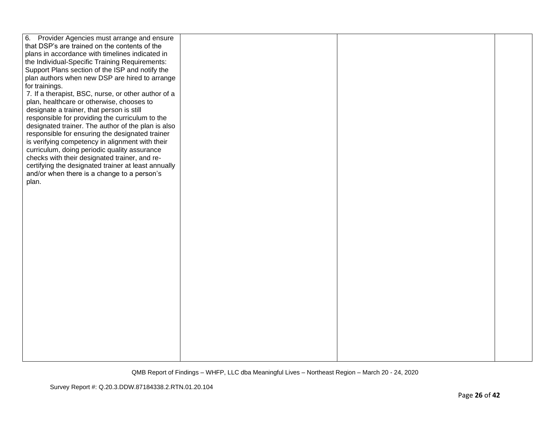| 6. Provider Agencies must arrange and ensure        |  |  |
|-----------------------------------------------------|--|--|
| that DSP's are trained on the contents of the       |  |  |
| plans in accordance with timelines indicated in     |  |  |
| the Individual-Specific Training Requirements:      |  |  |
| Support Plans section of the ISP and notify the     |  |  |
| plan authors when new DSP are hired to arrange      |  |  |
| for trainings.                                      |  |  |
| 7. If a therapist, BSC, nurse, or other author of a |  |  |
| plan, healthcare or otherwise, chooses to           |  |  |
| designate a trainer, that person is still           |  |  |
| responsible for providing the curriculum to the     |  |  |
| designated trainer. The author of the plan is also  |  |  |
| responsible for ensuring the designated trainer     |  |  |
| is verifying competency in alignment with their     |  |  |
| curriculum, doing periodic quality assurance        |  |  |
| checks with their designated trainer, and re-       |  |  |
| certifying the designated trainer at least annually |  |  |
| and/or when there is a change to a person's         |  |  |
| plan.                                               |  |  |
|                                                     |  |  |
|                                                     |  |  |
|                                                     |  |  |
|                                                     |  |  |
|                                                     |  |  |
|                                                     |  |  |
|                                                     |  |  |
|                                                     |  |  |
|                                                     |  |  |
|                                                     |  |  |
|                                                     |  |  |
|                                                     |  |  |
|                                                     |  |  |
|                                                     |  |  |
|                                                     |  |  |
|                                                     |  |  |
|                                                     |  |  |
|                                                     |  |  |
|                                                     |  |  |
|                                                     |  |  |
|                                                     |  |  |
|                                                     |  |  |
|                                                     |  |  |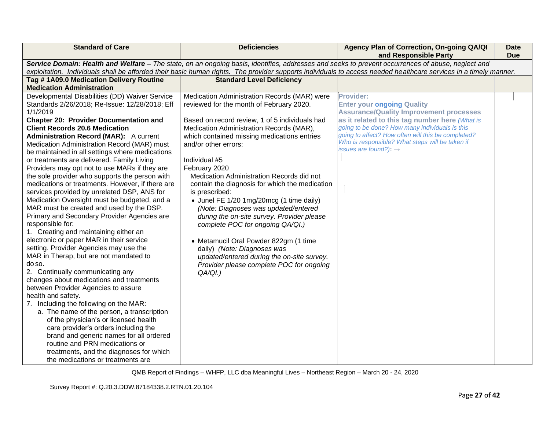| <b>Standard of Care</b>                                                                                                                                                                                                                                                                                                                                                                                                                                                                                                                                                                                                                                                                                                                                                                                                                                                                                                                                                                                                                                                                                                                                                                                                                                                                                                                                                                                                                            | <b>Deficiencies</b>                                                                                                                                                                                                                                                                                                                                                                                                                                                                                                                                                                                                                                                                                                                                                    | Agency Plan of Correction, On-going QA/QI<br>and Responsible Party                                                                                                                                                                                                                                                                                        | <b>Date</b><br><b>Due</b> |
|----------------------------------------------------------------------------------------------------------------------------------------------------------------------------------------------------------------------------------------------------------------------------------------------------------------------------------------------------------------------------------------------------------------------------------------------------------------------------------------------------------------------------------------------------------------------------------------------------------------------------------------------------------------------------------------------------------------------------------------------------------------------------------------------------------------------------------------------------------------------------------------------------------------------------------------------------------------------------------------------------------------------------------------------------------------------------------------------------------------------------------------------------------------------------------------------------------------------------------------------------------------------------------------------------------------------------------------------------------------------------------------------------------------------------------------------------|------------------------------------------------------------------------------------------------------------------------------------------------------------------------------------------------------------------------------------------------------------------------------------------------------------------------------------------------------------------------------------------------------------------------------------------------------------------------------------------------------------------------------------------------------------------------------------------------------------------------------------------------------------------------------------------------------------------------------------------------------------------------|-----------------------------------------------------------------------------------------------------------------------------------------------------------------------------------------------------------------------------------------------------------------------------------------------------------------------------------------------------------|---------------------------|
|                                                                                                                                                                                                                                                                                                                                                                                                                                                                                                                                                                                                                                                                                                                                                                                                                                                                                                                                                                                                                                                                                                                                                                                                                                                                                                                                                                                                                                                    |                                                                                                                                                                                                                                                                                                                                                                                                                                                                                                                                                                                                                                                                                                                                                                        | Service Domain: Health and Welfare - The state, on an ongoing basis, identifies, addresses and seeks to prevent occurrences of abuse, neglect and<br>exploitation. Individuals shall be afforded their basic human rights. The provider supports individuals to access needed healthcare services in a timely manner.                                     |                           |
| Tag #1A09.0 Medication Delivery Routine<br><b>Medication Administration</b>                                                                                                                                                                                                                                                                                                                                                                                                                                                                                                                                                                                                                                                                                                                                                                                                                                                                                                                                                                                                                                                                                                                                                                                                                                                                                                                                                                        | <b>Standard Level Deficiency</b>                                                                                                                                                                                                                                                                                                                                                                                                                                                                                                                                                                                                                                                                                                                                       |                                                                                                                                                                                                                                                                                                                                                           |                           |
| Developmental Disabilities (DD) Waiver Service<br>Standards 2/26/2018; Re-Issue: 12/28/2018; Eff<br>1/1/2019<br><b>Chapter 20: Provider Documentation and</b><br><b>Client Records 20.6 Medication</b><br><b>Administration Record (MAR):</b> A current<br>Medication Administration Record (MAR) must<br>be maintained in all settings where medications<br>or treatments are delivered. Family Living<br>Providers may opt not to use MARs if they are<br>the sole provider who supports the person with<br>medications or treatments. However, if there are<br>services provided by unrelated DSP, ANS for<br>Medication Oversight must be budgeted, and a<br>MAR must be created and used by the DSP.<br>Primary and Secondary Provider Agencies are<br>responsible for:<br>1. Creating and maintaining either an<br>electronic or paper MAR in their service<br>setting. Provider Agencies may use the<br>MAR in Therap, but are not mandated to<br>do so.<br>2. Continually communicating any<br>changes about medications and treatments<br>between Provider Agencies to assure<br>health and safety.<br>7. Including the following on the MAR:<br>a. The name of the person, a transcription<br>of the physician's or licensed health<br>care provider's orders including the<br>brand and generic names for all ordered<br>routine and PRN medications or<br>treatments, and the diagnoses for which<br>the medications or treatments are | Medication Administration Records (MAR) were<br>reviewed for the month of February 2020.<br>Based on record review, 1 of 5 individuals had<br>Medication Administration Records (MAR),<br>which contained missing medications entries<br>and/or other errors:<br>Individual #5<br>February 2020<br>Medication Administration Records did not<br>contain the diagnosis for which the medication<br>is prescribed:<br>• Junel FE 1/20 1mg/20mcg (1 time daily)<br>(Note: Diagnoses was updated/entered<br>during the on-site survey. Provider please<br>complete POC for ongoing QA/QI.)<br>• Metamucil Oral Powder 822gm (1 time<br>daily) (Note: Diagnoses was<br>updated/entered during the on-site survey.<br>Provider please complete POC for ongoing<br>$QA/QI.$ ) | <b>Provider:</b><br><b>Enter your ongoing Quality</b><br><b>Assurance/Quality Improvement processes</b><br>as it related to this tag number here (What is<br>going to be done? How many individuals is this<br>going to affect? How often will this be completed?<br>Who is responsible? What steps will be taken if<br>issues are found?): $\rightarrow$ |                           |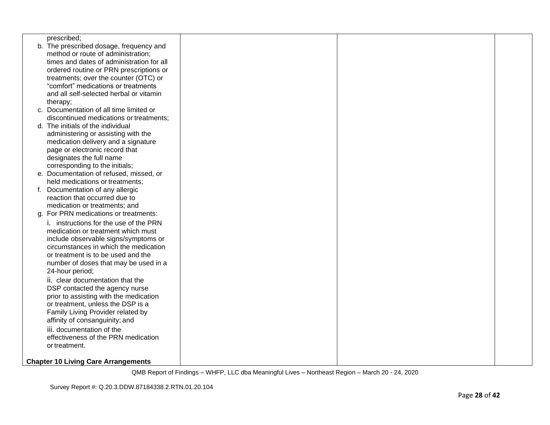| prescribed;                                |  |  |
|--------------------------------------------|--|--|
| b. The prescribed dosage, frequency and    |  |  |
| method or route of administration;         |  |  |
| times and dates of administration for all  |  |  |
| ordered routine or PRN prescriptions or    |  |  |
| treatments; over the counter (OTC) or      |  |  |
| "comfort" medications or treatments        |  |  |
| and all self-selected herbal or vitamin    |  |  |
| therapy;                                   |  |  |
| c. Documentation of all time limited or    |  |  |
| discontinued medications or treatments;    |  |  |
| d. The initials of the individual          |  |  |
| administering or assisting with the        |  |  |
| medication delivery and a signature        |  |  |
| page or electronic record that             |  |  |
| designates the full name                   |  |  |
| corresponding to the initials;             |  |  |
| e. Documentation of refused, missed, or    |  |  |
| held medications or treatments;            |  |  |
| f. Documentation of any allergic           |  |  |
| reaction that occurred due to              |  |  |
| medication or treatments; and              |  |  |
| g. For PRN medications or treatments:      |  |  |
| i. instructions for the use of the PRN     |  |  |
| medication or treatment which must         |  |  |
| include observable signs/symptoms or       |  |  |
| circumstances in which the medication      |  |  |
| or treatment is to be used and the         |  |  |
| number of doses that may be used in a      |  |  |
| 24-hour period;                            |  |  |
| ii. clear documentation that the           |  |  |
| DSP contacted the agency nurse             |  |  |
| prior to assisting with the medication     |  |  |
| or treatment, unless the DSP is a          |  |  |
| Family Living Provider related by          |  |  |
| affinity of consanguinity; and             |  |  |
| iii. documentation of the                  |  |  |
| effectiveness of the PRN medication        |  |  |
| or treatment.                              |  |  |
|                                            |  |  |
| <b>Chapter 10 Living Care Arrangements</b> |  |  |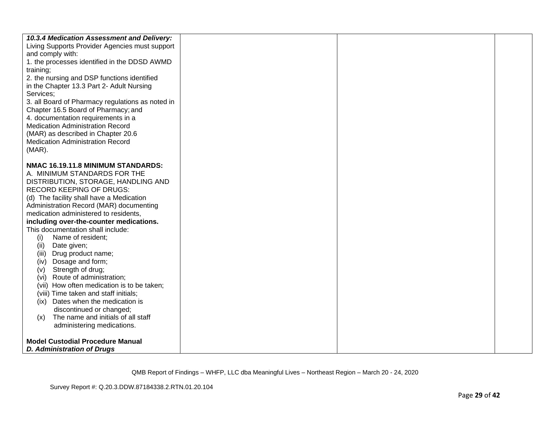| 10.3.4 Medication Assessment and Delivery:       |  |  |
|--------------------------------------------------|--|--|
| Living Supports Provider Agencies must support   |  |  |
| and comply with:                                 |  |  |
| 1. the processes identified in the DDSD AWMD     |  |  |
| training;                                        |  |  |
| 2. the nursing and DSP functions identified      |  |  |
| in the Chapter 13.3 Part 2- Adult Nursing        |  |  |
| Services;                                        |  |  |
| 3. all Board of Pharmacy regulations as noted in |  |  |
| Chapter 16.5 Board of Pharmacy; and              |  |  |
| 4. documentation requirements in a               |  |  |
| <b>Medication Administration Record</b>          |  |  |
| (MAR) as described in Chapter 20.6               |  |  |
| <b>Medication Administration Record</b>          |  |  |
| $(MAR)$ .                                        |  |  |
|                                                  |  |  |
| NMAC 16.19.11.8 MINIMUM STANDARDS:               |  |  |
| A. MINIMUM STANDARDS FOR THE                     |  |  |
| DISTRIBUTION, STORAGE, HANDLING AND              |  |  |
| <b>RECORD KEEPING OF DRUGS:</b>                  |  |  |
| (d) The facility shall have a Medication         |  |  |
|                                                  |  |  |
| Administration Record (MAR) documenting          |  |  |
| medication administered to residents,            |  |  |
| including over-the-counter medications.          |  |  |
| This documentation shall include:                |  |  |
| Name of resident;<br>(i)                         |  |  |
| Date given;<br>(ii)                              |  |  |
| Drug product name;<br>(iii)                      |  |  |
| Dosage and form;<br>(iv)                         |  |  |
| Strength of drug;<br>(v)                         |  |  |
| Route of administration;<br>(vi)                 |  |  |
| (vii) How often medication is to be taken;       |  |  |
| (viii) Time taken and staff initials;            |  |  |
| (ix) Dates when the medication is                |  |  |
| discontinued or changed;                         |  |  |
| The name and initials of all staff<br>(x)        |  |  |
| administering medications.                       |  |  |
|                                                  |  |  |
| <b>Model Custodial Procedure Manual</b>          |  |  |
| <b>D. Administration of Drugs</b>                |  |  |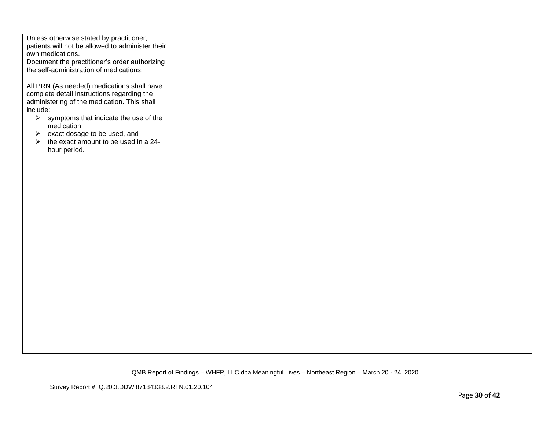| Unless otherwise stated by practitioner,                                                 |  |  |
|------------------------------------------------------------------------------------------|--|--|
| patients will not be allowed to administer their<br>own medications.                     |  |  |
| Document the practitioner's order authorizing                                            |  |  |
| the self-administration of medications.                                                  |  |  |
|                                                                                          |  |  |
| All PRN (As needed) medications shall have<br>complete detail instructions regarding the |  |  |
| administering of the medication. This shall<br>include:                                  |  |  |
| $\triangleright$ symptoms that indicate the use of the<br>medication,                    |  |  |
| exact dosage to be used, and<br>$\blacktriangleright$                                    |  |  |
| the exact amount to be used in a 24-<br>$\blacktriangleright$                            |  |  |
| hour period.                                                                             |  |  |
|                                                                                          |  |  |
|                                                                                          |  |  |
|                                                                                          |  |  |
|                                                                                          |  |  |
|                                                                                          |  |  |
|                                                                                          |  |  |
|                                                                                          |  |  |
|                                                                                          |  |  |
|                                                                                          |  |  |
|                                                                                          |  |  |
|                                                                                          |  |  |
|                                                                                          |  |  |
|                                                                                          |  |  |
|                                                                                          |  |  |
|                                                                                          |  |  |
|                                                                                          |  |  |
|                                                                                          |  |  |
|                                                                                          |  |  |
|                                                                                          |  |  |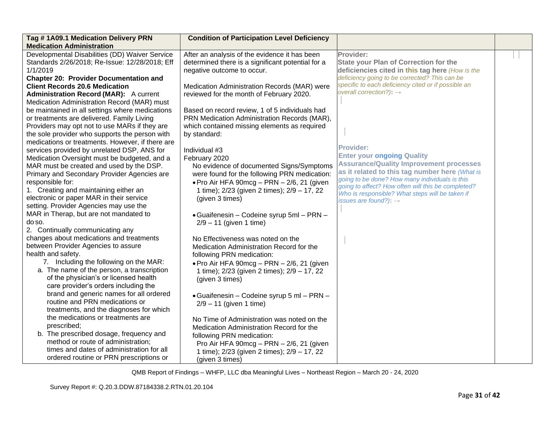| Tag #1A09.1 Medication Delivery PRN<br><b>Medication Administration</b>                                                                        | <b>Condition of Participation Level Deficiency</b>                                                                                             |                                                                                                                                                         |  |
|------------------------------------------------------------------------------------------------------------------------------------------------|------------------------------------------------------------------------------------------------------------------------------------------------|---------------------------------------------------------------------------------------------------------------------------------------------------------|--|
| Developmental Disabilities (DD) Waiver Service<br>Standards 2/26/2018; Re-Issue: 12/28/2018; Eff<br>1/1/2019                                   | After an analysis of the evidence it has been<br>determined there is a significant potential for a<br>negative outcome to occur.               | Provider:<br><b>State your Plan of Correction for the</b><br>deficiencies cited in this tag here (How is the                                            |  |
| <b>Chapter 20: Provider Documentation and</b>                                                                                                  |                                                                                                                                                | deficiency going to be corrected? This can be<br>specific to each deficiency cited or if possible an                                                    |  |
| <b>Client Records 20.6 Medication</b><br><b>Administration Record (MAR):</b> A current<br>Medication Administration Record (MAR) must          | Medication Administration Records (MAR) were<br>reviewed for the month of February 2020.                                                       | overall correction?): $\rightarrow$                                                                                                                     |  |
| be maintained in all settings where medications<br>or treatments are delivered. Family Living<br>Providers may opt not to use MARs if they are | Based on record review, 1 of 5 individuals had<br>PRN Medication Administration Records (MAR),<br>which contained missing elements as required |                                                                                                                                                         |  |
| the sole provider who supports the person with<br>medications or treatments. However, if there are                                             | by standard:                                                                                                                                   |                                                                                                                                                         |  |
| services provided by unrelated DSP, ANS for<br>Medication Oversight must be budgeted, and a                                                    | Individual #3<br>February 2020                                                                                                                 | <b>Provider:</b><br><b>Enter your ongoing Quality</b>                                                                                                   |  |
| MAR must be created and used by the DSP.<br>Primary and Secondary Provider Agencies are                                                        | No evidence of documented Signs/Symptoms<br>were found for the following PRN medication:                                                       | <b>Assurance/Quality Improvement processes</b><br>as it related to this tag number here (What is                                                        |  |
| responsible for:<br>1. Creating and maintaining either an                                                                                      | $\bullet$ Pro Air HFA 90mcg - PRN - 2/6, 21 (given<br>1 time); 2/23 (given 2 times); 2/9 - 17, 22                                              | going to be done? How many individuals is this<br>going to affect? How often will this be completed?<br>Who is responsible? What steps will be taken if |  |
| electronic or paper MAR in their service<br>setting. Provider Agencies may use the                                                             | (given 3 times)                                                                                                                                | issues are found?): $\rightarrow$                                                                                                                       |  |
| MAR in Therap, but are not mandated to<br>do so.<br>2. Continually communicating any                                                           | • Guaifenesin – Codeine syrup 5ml – PRN –<br>$2/9 - 11$ (given 1 time)                                                                         |                                                                                                                                                         |  |
| changes about medications and treatments<br>between Provider Agencies to assure                                                                | No Effectiveness was noted on the<br>Medication Administration Record for the                                                                  |                                                                                                                                                         |  |
| health and safety.<br>7. Including the following on the MAR:                                                                                   | following PRN medication:<br>. Pro Air HFA 90mcg - PRN - 2/6, 21 (given                                                                        |                                                                                                                                                         |  |
| a. The name of the person, a transcription<br>of the physician's or licensed health<br>care provider's orders including the                    | 1 time); 2/23 (given 2 times); 2/9 - 17, 22<br>(given 3 times)                                                                                 |                                                                                                                                                         |  |
| brand and generic names for all ordered<br>routine and PRN medications or<br>treatments, and the diagnoses for which                           | • Guaifenesin - Codeine syrup 5 ml - PRN -<br>$2/9 - 11$ (given 1 time)                                                                        |                                                                                                                                                         |  |
| the medications or treatments are<br>prescribed;                                                                                               | No Time of Administration was noted on the                                                                                                     |                                                                                                                                                         |  |
| b. The prescribed dosage, frequency and                                                                                                        | Medication Administration Record for the<br>following PRN medication:                                                                          |                                                                                                                                                         |  |
| method or route of administration;<br>times and dates of administration for all<br>ordered routine or PRN prescriptions or                     | Pro Air HFA 90mcg - PRN - 2/6, 21 (given<br>1 time); 2/23 (given 2 times); 2/9 - 17, 22<br>(given 3 times)                                     |                                                                                                                                                         |  |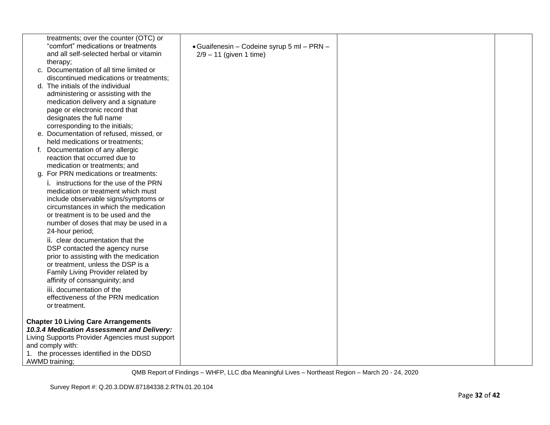| treatments; over the counter (OTC) or<br>"comfort" medications or treatments<br>and all self-selected herbal or vitamin<br>therapy; | · Guaifenesin - Codeine syrup 5 ml - PRN -<br>$2/9 - 11$ (given 1 time) |  |
|-------------------------------------------------------------------------------------------------------------------------------------|-------------------------------------------------------------------------|--|
| c. Documentation of all time limited or                                                                                             |                                                                         |  |
| discontinued medications or treatments;<br>d. The initials of the individual                                                        |                                                                         |  |
| administering or assisting with the                                                                                                 |                                                                         |  |
| medication delivery and a signature                                                                                                 |                                                                         |  |
| page or electronic record that                                                                                                      |                                                                         |  |
| designates the full name                                                                                                            |                                                                         |  |
| corresponding to the initials;                                                                                                      |                                                                         |  |
| e. Documentation of refused, missed, or<br>held medications or treatments;                                                          |                                                                         |  |
| f. Documentation of any allergic                                                                                                    |                                                                         |  |
| reaction that occurred due to                                                                                                       |                                                                         |  |
| medication or treatments; and                                                                                                       |                                                                         |  |
| g. For PRN medications or treatments:                                                                                               |                                                                         |  |
| i. instructions for the use of the PRN                                                                                              |                                                                         |  |
| medication or treatment which must<br>include observable signs/symptoms or                                                          |                                                                         |  |
| circumstances in which the medication                                                                                               |                                                                         |  |
| or treatment is to be used and the                                                                                                  |                                                                         |  |
| number of doses that may be used in a                                                                                               |                                                                         |  |
| 24-hour period;                                                                                                                     |                                                                         |  |
| ii. clear documentation that the                                                                                                    |                                                                         |  |
| DSP contacted the agency nurse<br>prior to assisting with the medication                                                            |                                                                         |  |
| or treatment, unless the DSP is a                                                                                                   |                                                                         |  |
| Family Living Provider related by                                                                                                   |                                                                         |  |
| affinity of consanguinity; and                                                                                                      |                                                                         |  |
| iii. documentation of the                                                                                                           |                                                                         |  |
| effectiveness of the PRN medication<br>or treatment.                                                                                |                                                                         |  |
|                                                                                                                                     |                                                                         |  |
| <b>Chapter 10 Living Care Arrangements</b>                                                                                          |                                                                         |  |
| 10.3.4 Medication Assessment and Delivery:                                                                                          |                                                                         |  |
| Living Supports Provider Agencies must support                                                                                      |                                                                         |  |
| and comply with:<br>1. the processes identified in the DDSD                                                                         |                                                                         |  |
| AWMD training;                                                                                                                      |                                                                         |  |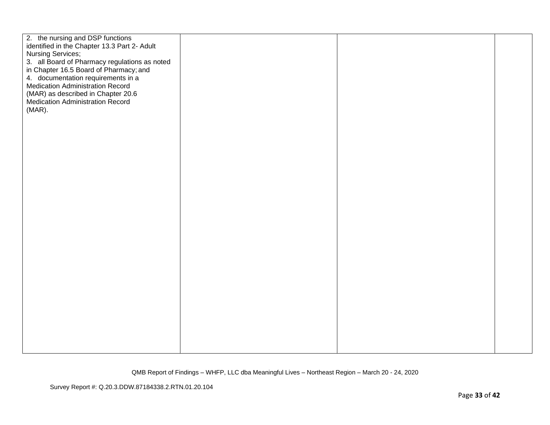| 2. the nursing and DSP functions<br>identified in the Chapter 13.3 Part 2- Adult<br><b>Nursing Services;</b><br>3. all Board of Pharmacy regulations as noted |  |  |
|---------------------------------------------------------------------------------------------------------------------------------------------------------------|--|--|
| in Chapter 16.5 Board of Pharmacy; and<br>4. documentation requirements in a<br><b>Medication Administration Record</b>                                       |  |  |
| (MAR) as described in Chapter 20.6<br>Medication Administration Record                                                                                        |  |  |
| (MAR).                                                                                                                                                        |  |  |
|                                                                                                                                                               |  |  |
|                                                                                                                                                               |  |  |
|                                                                                                                                                               |  |  |
|                                                                                                                                                               |  |  |
|                                                                                                                                                               |  |  |
|                                                                                                                                                               |  |  |
|                                                                                                                                                               |  |  |
|                                                                                                                                                               |  |  |
|                                                                                                                                                               |  |  |
|                                                                                                                                                               |  |  |
|                                                                                                                                                               |  |  |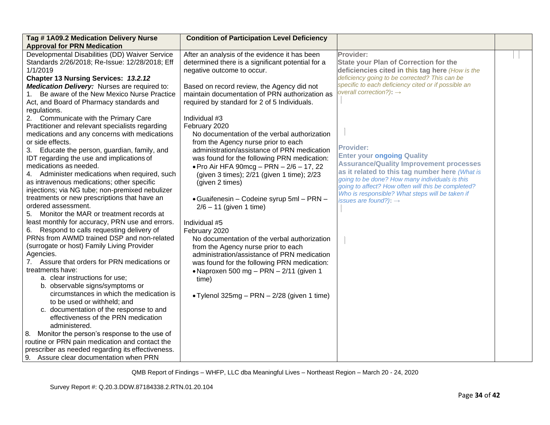| Tag #1A09.2 Medication Delivery Nurse                                                                                                                                                                                                                                                                                                                                                                                                                                                                                                                                                                                                                                                                                                                                                                                                                                                                                                                                                                                                                                                                                                                                                                                                                                                                                                                                                                                                                                                                                                                                                                                          | <b>Condition of Participation Level Deficiency</b>                                                                                                                                                                                                                                                                                                                                                                                                                                                                                                                                                                                                                                                                                                                                                                                                                                                                                                                                                                         |                                                                                                                                                                                                                                                                                                                                                                                                                                                                                                                                                                                                                          |  |
|--------------------------------------------------------------------------------------------------------------------------------------------------------------------------------------------------------------------------------------------------------------------------------------------------------------------------------------------------------------------------------------------------------------------------------------------------------------------------------------------------------------------------------------------------------------------------------------------------------------------------------------------------------------------------------------------------------------------------------------------------------------------------------------------------------------------------------------------------------------------------------------------------------------------------------------------------------------------------------------------------------------------------------------------------------------------------------------------------------------------------------------------------------------------------------------------------------------------------------------------------------------------------------------------------------------------------------------------------------------------------------------------------------------------------------------------------------------------------------------------------------------------------------------------------------------------------------------------------------------------------------|----------------------------------------------------------------------------------------------------------------------------------------------------------------------------------------------------------------------------------------------------------------------------------------------------------------------------------------------------------------------------------------------------------------------------------------------------------------------------------------------------------------------------------------------------------------------------------------------------------------------------------------------------------------------------------------------------------------------------------------------------------------------------------------------------------------------------------------------------------------------------------------------------------------------------------------------------------------------------------------------------------------------------|--------------------------------------------------------------------------------------------------------------------------------------------------------------------------------------------------------------------------------------------------------------------------------------------------------------------------------------------------------------------------------------------------------------------------------------------------------------------------------------------------------------------------------------------------------------------------------------------------------------------------|--|
| <b>Approval for PRN Medication</b><br>Developmental Disabilities (DD) Waiver Service<br>Standards 2/26/2018; Re-Issue: 12/28/2018; Eff<br>1/1/2019<br>Chapter 13 Nursing Services: 13.2.12<br><b>Medication Delivery:</b> Nurses are required to:<br>Be aware of the New Mexico Nurse Practice<br>1.<br>Act, and Board of Pharmacy standards and<br>regulations.<br>2. Communicate with the Primary Care<br>Practitioner and relevant specialists regarding<br>medications and any concerns with medications<br>or side effects.<br>Educate the person, guardian, family, and<br>3.<br>IDT regarding the use and implications of<br>medications as needed.<br>Administer medications when required, such<br>as intravenous medications; other specific<br>injections; via NG tube; non-premixed nebulizer<br>treatments or new prescriptions that have an<br>ordered assessment.<br>Monitor the MAR or treatment records at<br>5.<br>least monthly for accuracy, PRN use and errors.<br>Respond to calls requesting delivery of<br>6.<br>PRNs from AWMD trained DSP and non-related<br>(surrogate or host) Family Living Provider<br>Agencies.<br>7. Assure that orders for PRN medications or<br>treatments have:<br>a. clear instructions for use;<br>b. observable signs/symptoms or<br>circumstances in which the medication is<br>to be used or withheld; and<br>c. documentation of the response to and<br>effectiveness of the PRN medication<br>administered.<br>8. Monitor the person's response to the use of<br>routine or PRN pain medication and contact the<br>prescriber as needed regarding its effectiveness. | After an analysis of the evidence it has been<br>determined there is a significant potential for a<br>negative outcome to occur.<br>Based on record review, the Agency did not<br>maintain documentation of PRN authorization as<br>required by standard for 2 of 5 Individuals.<br>Individual #3<br>February 2020<br>No documentation of the verbal authorization<br>from the Agency nurse prior to each<br>administration/assistance of PRN medication<br>was found for the following PRN medication:<br>• Pro Air HFA 90mcg - PRN $- 2/6 - 17$ , 22<br>(given 3 times); 2/21 (given 1 time); 2/23<br>(given 2 times)<br>• Guaifenesin – Codeine syrup 5ml – PRN –<br>$2/6 - 11$ (given 1 time)<br>Individual #5<br>February 2020<br>No documentation of the verbal authorization<br>from the Agency nurse prior to each<br>administration/assistance of PRN medication<br>was found for the following PRN medication:<br>•Naproxen 500 mg - PRN - 2/11 (given 1<br>time)<br>• Tylenol 325mg - PRN - 2/28 (given 1 time) | Provider:<br><b>State your Plan of Correction for the</b><br>deficiencies cited in this tag here (How is the<br>deficiency going to be corrected? This can be<br>specific to each deficiency cited or if possible an<br>overall correction?): $\rightarrow$<br><b>Provider:</b><br><b>Enter your ongoing Quality</b><br><b>Assurance/Quality Improvement processes</b><br>as it related to this tag number here (What is<br>going to be done? How many individuals is this<br>going to affect? How often will this be completed?<br>Who is responsible? What steps will be taken if<br>issues are found?): $\rightarrow$ |  |
| 9. Assure clear documentation when PRN                                                                                                                                                                                                                                                                                                                                                                                                                                                                                                                                                                                                                                                                                                                                                                                                                                                                                                                                                                                                                                                                                                                                                                                                                                                                                                                                                                                                                                                                                                                                                                                         |                                                                                                                                                                                                                                                                                                                                                                                                                                                                                                                                                                                                                                                                                                                                                                                                                                                                                                                                                                                                                            |                                                                                                                                                                                                                                                                                                                                                                                                                                                                                                                                                                                                                          |  |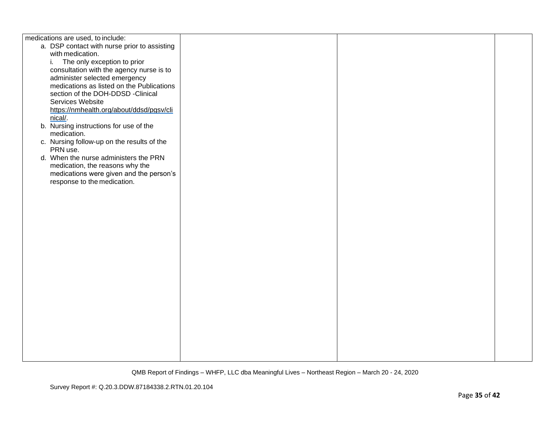| medications are used, to include:            |  |  |
|----------------------------------------------|--|--|
| a. DSP contact with nurse prior to assisting |  |  |
| with medication.                             |  |  |
| The only exception to prior<br>i.            |  |  |
| consultation with the agency nurse is to     |  |  |
| administer selected emergency                |  |  |
| medications as listed on the Publications    |  |  |
|                                              |  |  |
| section of the DOH-DDSD -Clinical            |  |  |
| Services Website                             |  |  |
| https://nmhealth.org/about/ddsd/pgsv/cli     |  |  |
| nical/.                                      |  |  |
| b. Nursing instructions for use of the       |  |  |
| medication.                                  |  |  |
| c. Nursing follow-up on the results of the   |  |  |
| PRN use.                                     |  |  |
| d. When the nurse administers the PRN        |  |  |
| medication, the reasons why the              |  |  |
| medications were given and the person's      |  |  |
| response to the medication.                  |  |  |
|                                              |  |  |
|                                              |  |  |
|                                              |  |  |
|                                              |  |  |
|                                              |  |  |
|                                              |  |  |
|                                              |  |  |
|                                              |  |  |
|                                              |  |  |
|                                              |  |  |
|                                              |  |  |
|                                              |  |  |
|                                              |  |  |
|                                              |  |  |
|                                              |  |  |
|                                              |  |  |
|                                              |  |  |
|                                              |  |  |
|                                              |  |  |
|                                              |  |  |
|                                              |  |  |
|                                              |  |  |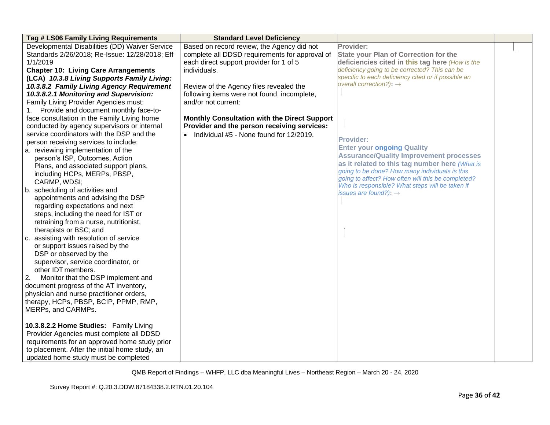| Tag # LS06 Family Living Requirements          | <b>Standard Level Deficiency</b>                    |                                                                                                      |  |
|------------------------------------------------|-----------------------------------------------------|------------------------------------------------------------------------------------------------------|--|
| Developmental Disabilities (DD) Waiver Service | Based on record review, the Agency did not          | Provider:                                                                                            |  |
| Standards 2/26/2018; Re-Issue: 12/28/2018; Eff | complete all DDSD requirements for approval of      | <b>State your Plan of Correction for the</b>                                                         |  |
| 1/1/2019                                       | each direct support provider for 1 of 5             | deficiencies cited in this tag here (How is the                                                      |  |
| <b>Chapter 10: Living Care Arrangements</b>    | individuals.                                        | deficiency going to be corrected? This can be                                                        |  |
| (LCA) 10.3.8 Living Supports Family Living:    |                                                     | specific to each deficiency cited or if possible an                                                  |  |
| 10.3.8.2 Family Living Agency Requirement      | Review of the Agency files revealed the             | overall correction?): $\rightarrow$                                                                  |  |
| 10.3.8.2.1 Monitoring and Supervision:         | following items were not found, incomplete,         |                                                                                                      |  |
| Family Living Provider Agencies must:          | and/or not current:                                 |                                                                                                      |  |
| Provide and document monthly face-to-<br>1.    |                                                     |                                                                                                      |  |
| face consultation in the Family Living home    | <b>Monthly Consultation with the Direct Support</b> |                                                                                                      |  |
| conducted by agency supervisors or internal    | Provider and the person receiving services:         |                                                                                                      |  |
| service coordinators with the DSP and the      | • Individual #5 - None found for 12/2019.           |                                                                                                      |  |
| person receiving services to include:          |                                                     | <b>Provider:</b>                                                                                     |  |
| a. reviewing implementation of the             |                                                     | <b>Enter your ongoing Quality</b>                                                                    |  |
| person's ISP, Outcomes, Action                 |                                                     | <b>Assurance/Quality Improvement processes</b>                                                       |  |
| Plans, and associated support plans,           |                                                     | as it related to this tag number here (What is                                                       |  |
| including HCPs, MERPs, PBSP,                   |                                                     | going to be done? How many individuals is this<br>going to affect? How often will this be completed? |  |
| CARMP, WDSI;                                   |                                                     | Who is responsible? What steps will be taken if                                                      |  |
| b. scheduling of activities and                |                                                     | issues are found?): $\rightarrow$                                                                    |  |
| appointments and advising the DSP              |                                                     |                                                                                                      |  |
| regarding expectations and next                |                                                     |                                                                                                      |  |
| steps, including the need for IST or           |                                                     |                                                                                                      |  |
| retraining from a nurse, nutritionist,         |                                                     |                                                                                                      |  |
| therapists or BSC; and                         |                                                     |                                                                                                      |  |
| c. assisting with resolution of service        |                                                     |                                                                                                      |  |
| or support issues raised by the                |                                                     |                                                                                                      |  |
| DSP or observed by the                         |                                                     |                                                                                                      |  |
| supervisor, service coordinator, or            |                                                     |                                                                                                      |  |
| other IDT members.                             |                                                     |                                                                                                      |  |
| 2.<br>Monitor that the DSP implement and       |                                                     |                                                                                                      |  |
| document progress of the AT inventory,         |                                                     |                                                                                                      |  |
| physician and nurse practitioner orders,       |                                                     |                                                                                                      |  |
| therapy, HCPs, PBSP, BCIP, PPMP, RMP,          |                                                     |                                                                                                      |  |
| MERPs, and CARMPs.                             |                                                     |                                                                                                      |  |
|                                                |                                                     |                                                                                                      |  |
| 10.3.8.2.2 Home Studies: Family Living         |                                                     |                                                                                                      |  |
| Provider Agencies must complete all DDSD       |                                                     |                                                                                                      |  |
| requirements for an approved home study prior  |                                                     |                                                                                                      |  |
| to placement. After the initial home study, an |                                                     |                                                                                                      |  |
| updated home study must be completed           |                                                     |                                                                                                      |  |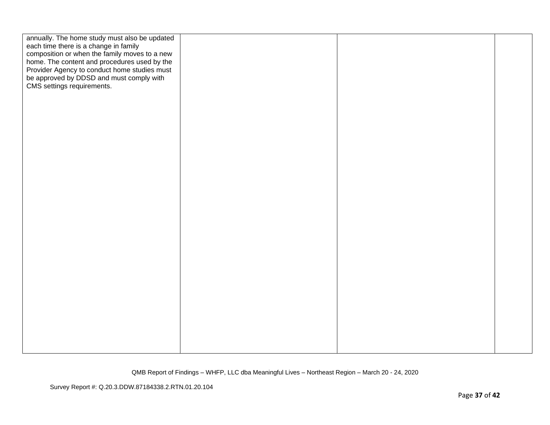| annually. The home study must also be updated                                                 |  |  |
|-----------------------------------------------------------------------------------------------|--|--|
| each time there is a change in family                                                         |  |  |
| composition or when the family moves to a new<br>home. The content and procedures used by the |  |  |
| Provider Agency to conduct home studies must                                                  |  |  |
| be approved by DDSD and must comply with                                                      |  |  |
| CMS settings requirements.                                                                    |  |  |
|                                                                                               |  |  |
|                                                                                               |  |  |
|                                                                                               |  |  |
|                                                                                               |  |  |
|                                                                                               |  |  |
|                                                                                               |  |  |
|                                                                                               |  |  |
|                                                                                               |  |  |
|                                                                                               |  |  |
|                                                                                               |  |  |
|                                                                                               |  |  |
|                                                                                               |  |  |
|                                                                                               |  |  |
|                                                                                               |  |  |
|                                                                                               |  |  |
|                                                                                               |  |  |
|                                                                                               |  |  |
|                                                                                               |  |  |
|                                                                                               |  |  |
|                                                                                               |  |  |
|                                                                                               |  |  |
|                                                                                               |  |  |
|                                                                                               |  |  |
|                                                                                               |  |  |
|                                                                                               |  |  |
|                                                                                               |  |  |
|                                                                                               |  |  |
|                                                                                               |  |  |
|                                                                                               |  |  |
|                                                                                               |  |  |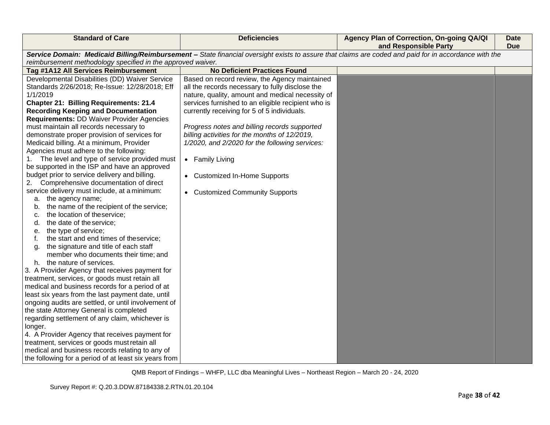| <b>Standard of Care</b>                                                                                                                                                                                              | <b>Deficiencies</b>                                                                              | Agency Plan of Correction, On-going QA/QI<br>and Responsible Party | Date<br><b>Due</b> |
|----------------------------------------------------------------------------------------------------------------------------------------------------------------------------------------------------------------------|--------------------------------------------------------------------------------------------------|--------------------------------------------------------------------|--------------------|
| Service Domain: Medicaid Billing/Reimbursement - State financial oversight exists to assure that claims are coded and paid for in accordance with the<br>reimbursement methodology specified in the approved waiver. |                                                                                                  |                                                                    |                    |
| Tag #1A12 All Services Reimbursement                                                                                                                                                                                 | <b>No Deficient Practices Found</b>                                                              |                                                                    |                    |
| Developmental Disabilities (DD) Waiver Service<br>Standards 2/26/2018; Re-Issue: 12/28/2018; Eff                                                                                                                     | Based on record review, the Agency maintained<br>all the records necessary to fully disclose the |                                                                    |                    |
| 1/1/2019                                                                                                                                                                                                             | nature, quality, amount and medical necessity of                                                 |                                                                    |                    |
| <b>Chapter 21: Billing Requirements: 21.4</b>                                                                                                                                                                        | services furnished to an eligible recipient who is                                               |                                                                    |                    |
| <b>Recording Keeping and Documentation</b>                                                                                                                                                                           | currently receiving for 5 of 5 individuals.                                                      |                                                                    |                    |
| <b>Requirements: DD Waiver Provider Agencies</b>                                                                                                                                                                     |                                                                                                  |                                                                    |                    |
| must maintain all records necessary to                                                                                                                                                                               | Progress notes and billing records supported                                                     |                                                                    |                    |
| demonstrate proper provision of services for                                                                                                                                                                         | billing activities for the months of 12/2019,                                                    |                                                                    |                    |
| Medicaid billing. At a minimum, Provider                                                                                                                                                                             | 1/2020, and 2/2020 for the following services:                                                   |                                                                    |                    |
| Agencies must adhere to the following:                                                                                                                                                                               |                                                                                                  |                                                                    |                    |
| The level and type of service provided must                                                                                                                                                                          | • Family Living                                                                                  |                                                                    |                    |
| be supported in the ISP and have an approved                                                                                                                                                                         |                                                                                                  |                                                                    |                    |
| budget prior to service delivery and billing.                                                                                                                                                                        | • Customized In-Home Supports                                                                    |                                                                    |                    |
| 2.<br>Comprehensive documentation of direct                                                                                                                                                                          |                                                                                                  |                                                                    |                    |
| service delivery must include, at a minimum:<br>a. the agency name;                                                                                                                                                  | • Customized Community Supports                                                                  |                                                                    |                    |
| the name of the recipient of the service;<br>b.                                                                                                                                                                      |                                                                                                  |                                                                    |                    |
| the location of theservice;<br>c.                                                                                                                                                                                    |                                                                                                  |                                                                    |                    |
| the date of the service;<br>d.                                                                                                                                                                                       |                                                                                                  |                                                                    |                    |
| the type of service;<br>е.                                                                                                                                                                                           |                                                                                                  |                                                                    |                    |
| the start and end times of theservice;<br>f.                                                                                                                                                                         |                                                                                                  |                                                                    |                    |
| the signature and title of each staff<br>q.                                                                                                                                                                          |                                                                                                  |                                                                    |                    |
| member who documents their time; and                                                                                                                                                                                 |                                                                                                  |                                                                    |                    |
| h. the nature of services.                                                                                                                                                                                           |                                                                                                  |                                                                    |                    |
| 3. A Provider Agency that receives payment for                                                                                                                                                                       |                                                                                                  |                                                                    |                    |
| treatment, services, or goods must retain all                                                                                                                                                                        |                                                                                                  |                                                                    |                    |
| medical and business records for a period of at                                                                                                                                                                      |                                                                                                  |                                                                    |                    |
| least six years from the last payment date, until                                                                                                                                                                    |                                                                                                  |                                                                    |                    |
| ongoing audits are settled, or until involvement of                                                                                                                                                                  |                                                                                                  |                                                                    |                    |
| the state Attorney General is completed                                                                                                                                                                              |                                                                                                  |                                                                    |                    |
| regarding settlement of any claim, whichever is                                                                                                                                                                      |                                                                                                  |                                                                    |                    |
| longer.                                                                                                                                                                                                              |                                                                                                  |                                                                    |                    |
| 4. A Provider Agency that receives payment for<br>treatment, services or goods must retain all                                                                                                                       |                                                                                                  |                                                                    |                    |
| medical and business records relating to any of                                                                                                                                                                      |                                                                                                  |                                                                    |                    |
| the following for a period of at least six years from                                                                                                                                                                |                                                                                                  |                                                                    |                    |
|                                                                                                                                                                                                                      |                                                                                                  |                                                                    |                    |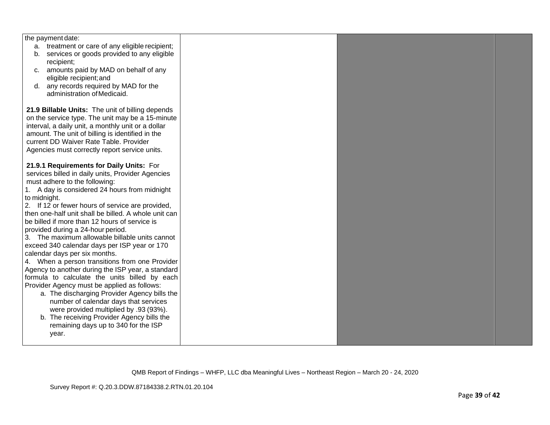| the payment date:                                    |  |  |
|------------------------------------------------------|--|--|
| a. treatment or care of any eligible recipient;      |  |  |
| services or goods provided to any eligible<br>b.     |  |  |
| recipient;                                           |  |  |
| amounts paid by MAD on behalf of any<br>C.           |  |  |
| eligible recipient; and                              |  |  |
| any records required by MAD for the<br>d.            |  |  |
| administration of Medicaid.                          |  |  |
|                                                      |  |  |
| 21.9 Billable Units: The unit of billing depends     |  |  |
| on the service type. The unit may be a 15-minute     |  |  |
| interval, a daily unit, a monthly unit or a dollar   |  |  |
| amount. The unit of billing is identified in the     |  |  |
| current DD Waiver Rate Table. Provider               |  |  |
| Agencies must correctly report service units.        |  |  |
|                                                      |  |  |
| 21.9.1 Requirements for Daily Units: For             |  |  |
| services billed in daily units, Provider Agencies    |  |  |
| must adhere to the following:                        |  |  |
| 1. A day is considered 24 hours from midnight        |  |  |
|                                                      |  |  |
| to midnight.                                         |  |  |
| 2. If 12 or fewer hours of service are provided,     |  |  |
| then one-half unit shall be billed. A whole unit can |  |  |
| be billed if more than 12 hours of service is        |  |  |
| provided during a 24-hour period.                    |  |  |
| 3. The maximum allowable billable units cannot       |  |  |
| exceed 340 calendar days per ISP year or 170         |  |  |
| calendar days per six months.                        |  |  |
| 4. When a person transitions from one Provider       |  |  |
| Agency to another during the ISP year, a standard    |  |  |
| formula to calculate the units billed by each        |  |  |
| Provider Agency must be applied as follows:          |  |  |
| a. The discharging Provider Agency bills the         |  |  |
| number of calendar days that services                |  |  |
| were provided multiplied by .93 (93%).               |  |  |
| b. The receiving Provider Agency bills the           |  |  |
| remaining days up to 340 for the ISP                 |  |  |
| year.                                                |  |  |
|                                                      |  |  |
|                                                      |  |  |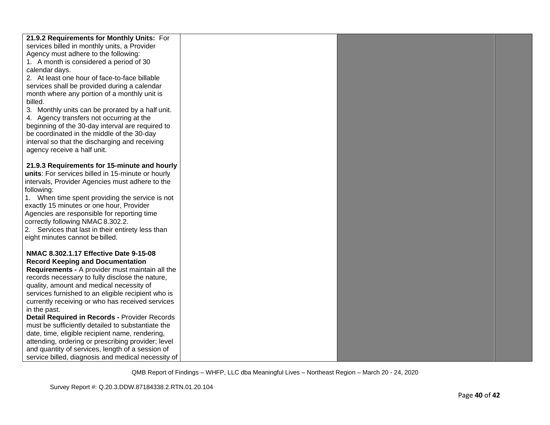| 21.9.2 Requirements for Monthly Units: For         |  |  |
|----------------------------------------------------|--|--|
| services billed in monthly units, a Provider       |  |  |
| Agency must adhere to the following:               |  |  |
| 1. A month is considered a period of 30            |  |  |
| calendar days.                                     |  |  |
| 2. At least one hour of face-to-face billable      |  |  |
| services shall be provided during a calendar       |  |  |
| month where any portion of a monthly unit is       |  |  |
| billed.                                            |  |  |
| 3. Monthly units can be prorated by a half unit.   |  |  |
| 4. Agency transfers not occurring at the           |  |  |
| beginning of the 30-day interval are required to   |  |  |
| be coordinated in the middle of the 30-day         |  |  |
| interval so that the discharging and receiving     |  |  |
| agency receive a half unit.                        |  |  |
|                                                    |  |  |
| 21.9.3 Requirements for 15-minute and hourly       |  |  |
| units: For services billed in 15-minute or hourly  |  |  |
| intervals, Provider Agencies must adhere to the    |  |  |
| following:                                         |  |  |
| 1. When time spent providing the service is not    |  |  |
| exactly 15 minutes or one hour, Provider           |  |  |
| Agencies are responsible for reporting time        |  |  |
| correctly following NMAC 8.302.2.                  |  |  |
| 2. Services that last in their entirety less than  |  |  |
| eight minutes cannot be billed.                    |  |  |
|                                                    |  |  |
| NMAC 8.302.1.17 Effective Date 9-15-08             |  |  |
| <b>Record Keeping and Documentation</b>            |  |  |
| Requirements - A provider must maintain all the    |  |  |
| records necessary to fully disclose the nature,    |  |  |
| quality, amount and medical necessity of           |  |  |
| services furnished to an eligible recipient who is |  |  |
| currently receiving or who has received services   |  |  |
| in the past.                                       |  |  |
| Detail Required in Records - Provider Records      |  |  |
| must be sufficiently detailed to substantiate the  |  |  |
| date, time, eligible recipient name, rendering,    |  |  |
| attending, ordering or prescribing provider; level |  |  |
| and quantity of services, length of a session of   |  |  |
| service billed, diagnosis and medical necessity of |  |  |
|                                                    |  |  |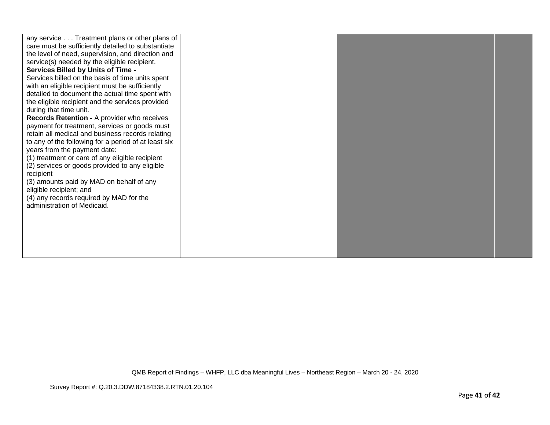| any service Treatment plans or other plans of        |  |  |
|------------------------------------------------------|--|--|
| care must be sufficiently detailed to substantiate   |  |  |
| the level of need, supervision, and direction and    |  |  |
| service(s) needed by the eligible recipient.         |  |  |
| <b>Services Billed by Units of Time -</b>            |  |  |
| Services billed on the basis of time units spent     |  |  |
| with an eligible recipient must be sufficiently      |  |  |
| detailed to document the actual time spent with      |  |  |
| the eligible recipient and the services provided     |  |  |
| during that time unit.                               |  |  |
| Records Retention - A provider who receives          |  |  |
| payment for treatment, services or goods must        |  |  |
| retain all medical and business records relating     |  |  |
| to any of the following for a period of at least six |  |  |
| years from the payment date:                         |  |  |
| (1) treatment or care of any eligible recipient      |  |  |
| (2) services or goods provided to any eligible       |  |  |
| recipient                                            |  |  |
| (3) amounts paid by MAD on behalf of any             |  |  |
| eligible recipient; and                              |  |  |
| (4) any records required by MAD for the              |  |  |
| administration of Medicaid.                          |  |  |
|                                                      |  |  |
|                                                      |  |  |
|                                                      |  |  |
|                                                      |  |  |
|                                                      |  |  |
|                                                      |  |  |